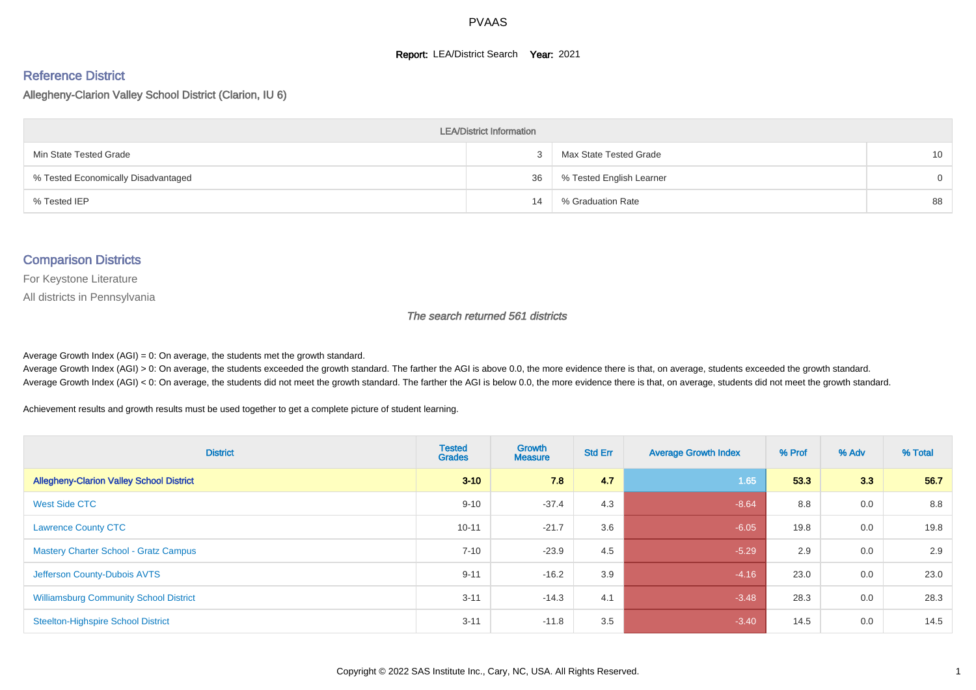#### **Report: LEA/District Search Year: 2021**

#### Reference District

Allegheny-Clarion Valley School District (Clarion, IU 6)

| <b>LEA/District Information</b>     |    |                          |    |  |  |  |  |  |  |  |
|-------------------------------------|----|--------------------------|----|--|--|--|--|--|--|--|
| Min State Tested Grade              |    | Max State Tested Grade   | 10 |  |  |  |  |  |  |  |
| % Tested Economically Disadvantaged | 36 | % Tested English Learner | 0  |  |  |  |  |  |  |  |
| % Tested IEP                        | 14 | % Graduation Rate        | 88 |  |  |  |  |  |  |  |

#### Comparison Districts

For Keystone Literature

All districts in Pennsylvania

The search returned 561 districts

Average Growth Index  $(AGI) = 0$ : On average, the students met the growth standard.

Average Growth Index (AGI) > 0: On average, the students exceeded the growth standard. The farther the AGI is above 0.0, the more evidence there is that, on average, students exceeded the growth standard. Average Growth Index (AGI) < 0: On average, the students did not meet the growth standard. The farther the AGI is below 0.0, the more evidence there is that, on average, students did not meet the growth standard.

Achievement results and growth results must be used together to get a complete picture of student learning.

| <b>District</b>                                 | <b>Tested</b><br><b>Grades</b> | Growth<br><b>Measure</b> | <b>Std Err</b> | <b>Average Growth Index</b> | % Prof | % Adv | % Total |
|-------------------------------------------------|--------------------------------|--------------------------|----------------|-----------------------------|--------|-------|---------|
| <b>Allegheny-Clarion Valley School District</b> | $3 - 10$                       | 7.8                      | 4.7            | 1.65                        | 53.3   | 3.3   | 56.7    |
| West Side CTC                                   | $9 - 10$                       | $-37.4$                  | 4.3            | $-8.64$                     | 8.8    | 0.0   | 8.8     |
| <b>Lawrence County CTC</b>                      | $10 - 11$                      | $-21.7$                  | 3.6            | $-6.05$                     | 19.8   | 0.0   | 19.8    |
| <b>Mastery Charter School - Gratz Campus</b>    | $7 - 10$                       | $-23.9$                  | 4.5            | $-5.29$                     | 2.9    | 0.0   | 2.9     |
| Jefferson County-Dubois AVTS                    | $9 - 11$                       | $-16.2$                  | 3.9            | $-4.16$                     | 23.0   | 0.0   | 23.0    |
| <b>Williamsburg Community School District</b>   | $3 - 11$                       | $-14.3$                  | 4.1            | $-3.48$                     | 28.3   | 0.0   | 28.3    |
| <b>Steelton-Highspire School District</b>       | $3 - 11$                       | $-11.8$                  | 3.5            | $-3.40$                     | 14.5   | 0.0   | 14.5    |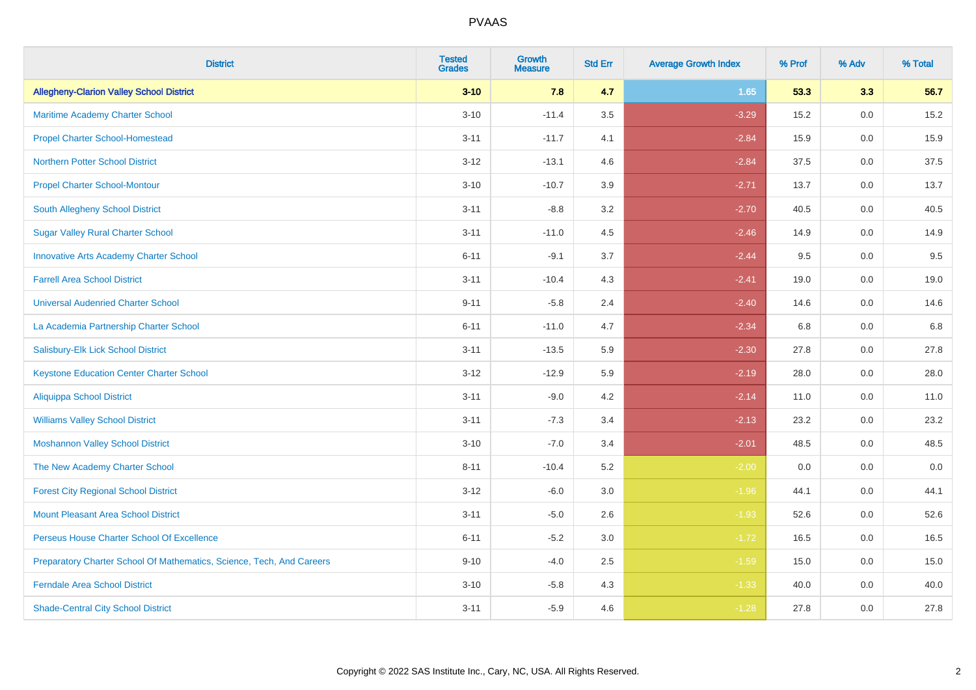| <b>District</b>                                                       | <b>Tested</b><br><b>Grades</b> | <b>Growth</b><br><b>Measure</b> | <b>Std Err</b> | <b>Average Growth Index</b> | % Prof | % Adv   | % Total |
|-----------------------------------------------------------------------|--------------------------------|---------------------------------|----------------|-----------------------------|--------|---------|---------|
| <b>Allegheny-Clarion Valley School District</b>                       | $3 - 10$                       | 7.8                             | 4.7            | 1.65                        | 53.3   | 3.3     | 56.7    |
| Maritime Academy Charter School                                       | $3 - 10$                       | $-11.4$                         | $3.5\,$        | $-3.29$                     | 15.2   | 0.0     | 15.2    |
| <b>Propel Charter School-Homestead</b>                                | $3 - 11$                       | $-11.7$                         | 4.1            | $-2.84$                     | 15.9   | 0.0     | 15.9    |
| <b>Northern Potter School District</b>                                | $3 - 12$                       | $-13.1$                         | 4.6            | $-2.84$                     | 37.5   | 0.0     | 37.5    |
| <b>Propel Charter School-Montour</b>                                  | $3 - 10$                       | $-10.7$                         | 3.9            | $-2.71$                     | 13.7   | 0.0     | 13.7    |
| South Allegheny School District                                       | $3 - 11$                       | $-8.8$                          | 3.2            | $-2.70$                     | 40.5   | 0.0     | 40.5    |
| <b>Sugar Valley Rural Charter School</b>                              | $3 - 11$                       | $-11.0$                         | 4.5            | $-2.46$                     | 14.9   | 0.0     | 14.9    |
| <b>Innovative Arts Academy Charter School</b>                         | $6 - 11$                       | $-9.1$                          | 3.7            | $-2.44$                     | 9.5    | 0.0     | 9.5     |
| <b>Farrell Area School District</b>                                   | $3 - 11$                       | $-10.4$                         | 4.3            | $-2.41$                     | 19.0   | 0.0     | 19.0    |
| <b>Universal Audenried Charter School</b>                             | $9 - 11$                       | $-5.8$                          | 2.4            | $-2.40$                     | 14.6   | 0.0     | 14.6    |
| La Academia Partnership Charter School                                | $6 - 11$                       | $-11.0$                         | 4.7            | $-2.34$                     | 6.8    | 0.0     | 6.8     |
| Salisbury-Elk Lick School District                                    | $3 - 11$                       | $-13.5$                         | 5.9            | $-2.30$                     | 27.8   | 0.0     | 27.8    |
| <b>Keystone Education Center Charter School</b>                       | $3-12$                         | $-12.9$                         | 5.9            | $-2.19$                     | 28.0   | 0.0     | 28.0    |
| <b>Aliquippa School District</b>                                      | $3 - 11$                       | $-9.0$                          | 4.2            | $-2.14$                     | 11.0   | 0.0     | 11.0    |
| <b>Williams Valley School District</b>                                | $3 - 11$                       | $-7.3$                          | 3.4            | $-2.13$                     | 23.2   | 0.0     | 23.2    |
| <b>Moshannon Valley School District</b>                               | $3 - 10$                       | $-7.0$                          | 3.4            | $-2.01$                     | 48.5   | $0.0\,$ | 48.5    |
| The New Academy Charter School                                        | $8 - 11$                       | $-10.4$                         | 5.2            | $-2.00$                     | 0.0    | 0.0     | 0.0     |
| <b>Forest City Regional School District</b>                           | $3 - 12$                       | $-6.0$                          | 3.0            | $-1.96$                     | 44.1   | 0.0     | 44.1    |
| <b>Mount Pleasant Area School District</b>                            | $3 - 11$                       | $-5.0$                          | 2.6            | $-1.93$                     | 52.6   | 0.0     | 52.6    |
| Perseus House Charter School Of Excellence                            | $6 - 11$                       | $-5.2$                          | 3.0            | $-1.72$                     | 16.5   | 0.0     | 16.5    |
| Preparatory Charter School Of Mathematics, Science, Tech, And Careers | $9 - 10$                       | $-4.0$                          | 2.5            | $-1.59$                     | 15.0   | 0.0     | 15.0    |
| <b>Ferndale Area School District</b>                                  | $3 - 10$                       | $-5.8$                          | 4.3            | $-1.33$                     | 40.0   | 0.0     | 40.0    |
| <b>Shade-Central City School District</b>                             | $3 - 11$                       | $-5.9$                          | 4.6            | $-1.28$                     | 27.8   | 0.0     | 27.8    |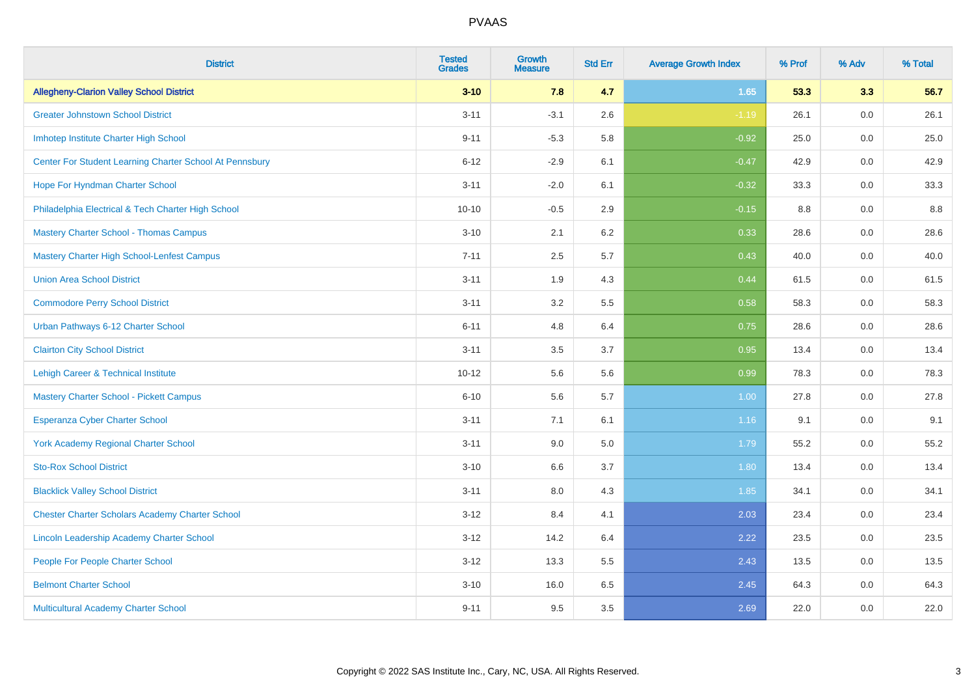| <b>District</b>                                         | <b>Tested</b><br><b>Grades</b> | <b>Growth</b><br><b>Measure</b> | <b>Std Err</b> | <b>Average Growth Index</b> | % Prof | % Adv   | % Total |
|---------------------------------------------------------|--------------------------------|---------------------------------|----------------|-----------------------------|--------|---------|---------|
| <b>Allegheny-Clarion Valley School District</b>         | $3 - 10$                       | 7.8                             | 4.7            | 1.65                        | 53.3   | 3.3     | 56.7    |
| <b>Greater Johnstown School District</b>                | $3 - 11$                       | $-3.1$                          | 2.6            | $-1.19$                     | 26.1   | 0.0     | 26.1    |
| Imhotep Institute Charter High School                   | $9 - 11$                       | $-5.3$                          | 5.8            | $-0.92$                     | 25.0   | 0.0     | 25.0    |
| Center For Student Learning Charter School At Pennsbury | $6 - 12$                       | $-2.9$                          | 6.1            | $-0.47$                     | 42.9   | 0.0     | 42.9    |
| Hope For Hyndman Charter School                         | $3 - 11$                       | $-2.0$                          | 6.1            | $-0.32$                     | 33.3   | 0.0     | 33.3    |
| Philadelphia Electrical & Tech Charter High School      | $10 - 10$                      | $-0.5$                          | 2.9            | $-0.15$                     | 8.8    | 0.0     | 8.8     |
| <b>Mastery Charter School - Thomas Campus</b>           | $3 - 10$                       | 2.1                             | 6.2            | 0.33                        | 28.6   | 0.0     | 28.6    |
| Mastery Charter High School-Lenfest Campus              | $7 - 11$                       | 2.5                             | 5.7            | 0.43                        | 40.0   | 0.0     | 40.0    |
| <b>Union Area School District</b>                       | $3 - 11$                       | 1.9                             | 4.3            | 0.44                        | 61.5   | 0.0     | 61.5    |
| <b>Commodore Perry School District</b>                  | $3 - 11$                       | 3.2                             | 5.5            | 0.58                        | 58.3   | 0.0     | 58.3    |
| Urban Pathways 6-12 Charter School                      | $6 - 11$                       | 4.8                             | 6.4            | 0.75                        | 28.6   | 0.0     | 28.6    |
| <b>Clairton City School District</b>                    | $3 - 11$                       | 3.5                             | 3.7            | 0.95                        | 13.4   | $0.0\,$ | 13.4    |
| Lehigh Career & Technical Institute                     | $10 - 12$                      | 5.6                             | 5.6            | 0.99                        | 78.3   | 0.0     | 78.3    |
| <b>Mastery Charter School - Pickett Campus</b>          | $6 - 10$                       | 5.6                             | 5.7            | 1.00                        | 27.8   | 0.0     | 27.8    |
| <b>Esperanza Cyber Charter School</b>                   | $3 - 11$                       | 7.1                             | 6.1            | 1.16                        | 9.1    | $0.0\,$ | 9.1     |
| <b>York Academy Regional Charter School</b>             | $3 - 11$                       | 9.0                             | 5.0            | 1.79                        | 55.2   | 0.0     | 55.2    |
| <b>Sto-Rox School District</b>                          | $3 - 10$                       | 6.6                             | 3.7            | 1.80                        | 13.4   | 0.0     | 13.4    |
| <b>Blacklick Valley School District</b>                 | $3 - 11$                       | 8.0                             | 4.3            | 1.85                        | 34.1   | 0.0     | 34.1    |
| <b>Chester Charter Scholars Academy Charter School</b>  | $3 - 12$                       | 8.4                             | 4.1            | 2.03                        | 23.4   | 0.0     | 23.4    |
| Lincoln Leadership Academy Charter School               | $3 - 12$                       | 14.2                            | 6.4            | 2.22                        | 23.5   | 0.0     | 23.5    |
| People For People Charter School                        | $3 - 12$                       | 13.3                            | 5.5            | 2.43                        | 13.5   | 0.0     | 13.5    |
| <b>Belmont Charter School</b>                           | $3 - 10$                       | 16.0                            | 6.5            | 2.45                        | 64.3   | 0.0     | 64.3    |
| Multicultural Academy Charter School                    | $9 - 11$                       | 9.5                             | 3.5            | 2.69                        | 22.0   | 0.0     | 22.0    |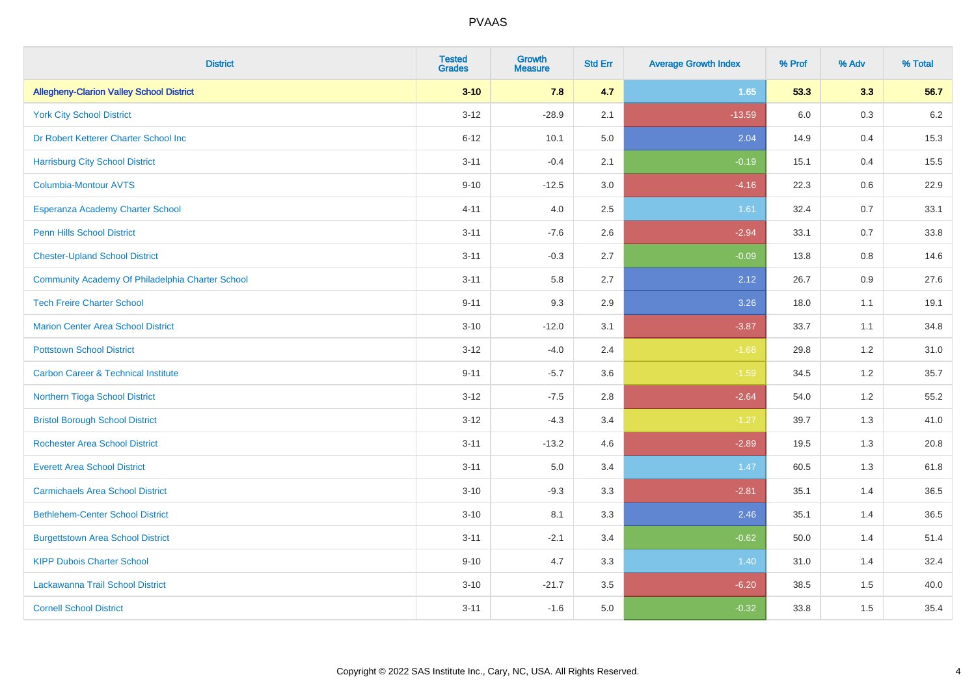| <b>District</b>                                  | <b>Tested</b><br><b>Grades</b> | Growth<br><b>Measure</b> | <b>Std Err</b> | <b>Average Growth Index</b> | % Prof | % Adv | % Total |
|--------------------------------------------------|--------------------------------|--------------------------|----------------|-----------------------------|--------|-------|---------|
| <b>Allegheny-Clarion Valley School District</b>  | $3 - 10$                       | 7.8                      | 4.7            | 1.65                        | 53.3   | 3.3   | 56.7    |
| <b>York City School District</b>                 | $3 - 12$                       | $-28.9$                  | 2.1            | $-13.59$                    | 6.0    | 0.3   | 6.2     |
| Dr Robert Ketterer Charter School Inc            | $6 - 12$                       | 10.1                     | 5.0            | 2.04                        | 14.9   | 0.4   | 15.3    |
| <b>Harrisburg City School District</b>           | $3 - 11$                       | $-0.4$                   | 2.1            | $-0.19$                     | 15.1   | 0.4   | 15.5    |
| <b>Columbia-Montour AVTS</b>                     | $9 - 10$                       | $-12.5$                  | 3.0            | $-4.16$                     | 22.3   | 0.6   | 22.9    |
| Esperanza Academy Charter School                 | $4 - 11$                       | 4.0                      | 2.5            | 1.61                        | 32.4   | 0.7   | 33.1    |
| <b>Penn Hills School District</b>                | $3 - 11$                       | $-7.6$                   | 2.6            | $-2.94$                     | 33.1   | 0.7   | 33.8    |
| <b>Chester-Upland School District</b>            | $3 - 11$                       | $-0.3$                   | 2.7            | $-0.09$                     | 13.8   | 0.8   | 14.6    |
| Community Academy Of Philadelphia Charter School | $3 - 11$                       | 5.8                      | 2.7            | 2.12                        | 26.7   | 0.9   | 27.6    |
| <b>Tech Freire Charter School</b>                | $9 - 11$                       | 9.3                      | 2.9            | 3.26                        | 18.0   | 1.1   | 19.1    |
| <b>Marion Center Area School District</b>        | $3 - 10$                       | $-12.0$                  | 3.1            | $-3.87$                     | 33.7   | 1.1   | 34.8    |
| <b>Pottstown School District</b>                 | $3 - 12$                       | $-4.0$                   | 2.4            | $-1.68$                     | 29.8   | 1.2   | 31.0    |
| <b>Carbon Career &amp; Technical Institute</b>   | $9 - 11$                       | $-5.7$                   | 3.6            | $-1.59$                     | 34.5   | 1.2   | 35.7    |
| Northern Tioga School District                   | $3 - 12$                       | $-7.5$                   | 2.8            | $-2.64$                     | 54.0   | 1.2   | 55.2    |
| <b>Bristol Borough School District</b>           | $3 - 12$                       | $-4.3$                   | 3.4            | $-1.27$                     | 39.7   | 1.3   | 41.0    |
| <b>Rochester Area School District</b>            | $3 - 11$                       | $-13.2$                  | 4.6            | $-2.89$                     | 19.5   | 1.3   | 20.8    |
| <b>Everett Area School District</b>              | $3 - 11$                       | 5.0                      | 3.4            | 1.47                        | 60.5   | 1.3   | 61.8    |
| <b>Carmichaels Area School District</b>          | $3 - 10$                       | $-9.3$                   | 3.3            | $-2.81$                     | 35.1   | 1.4   | 36.5    |
| <b>Bethlehem-Center School District</b>          | $3 - 10$                       | 8.1                      | 3.3            | 2.46                        | 35.1   | 1.4   | 36.5    |
| <b>Burgettstown Area School District</b>         | $3 - 11$                       | $-2.1$                   | 3.4            | $-0.62$                     | 50.0   | 1.4   | 51.4    |
| <b>KIPP Dubois Charter School</b>                | $9 - 10$                       | 4.7                      | 3.3            | 1.40                        | 31.0   | 1.4   | 32.4    |
| Lackawanna Trail School District                 | $3 - 10$                       | $-21.7$                  | 3.5            | $-6.20$                     | 38.5   | 1.5   | 40.0    |
| <b>Cornell School District</b>                   | $3 - 11$                       | $-1.6$                   | 5.0            | $-0.32$                     | 33.8   | 1.5   | 35.4    |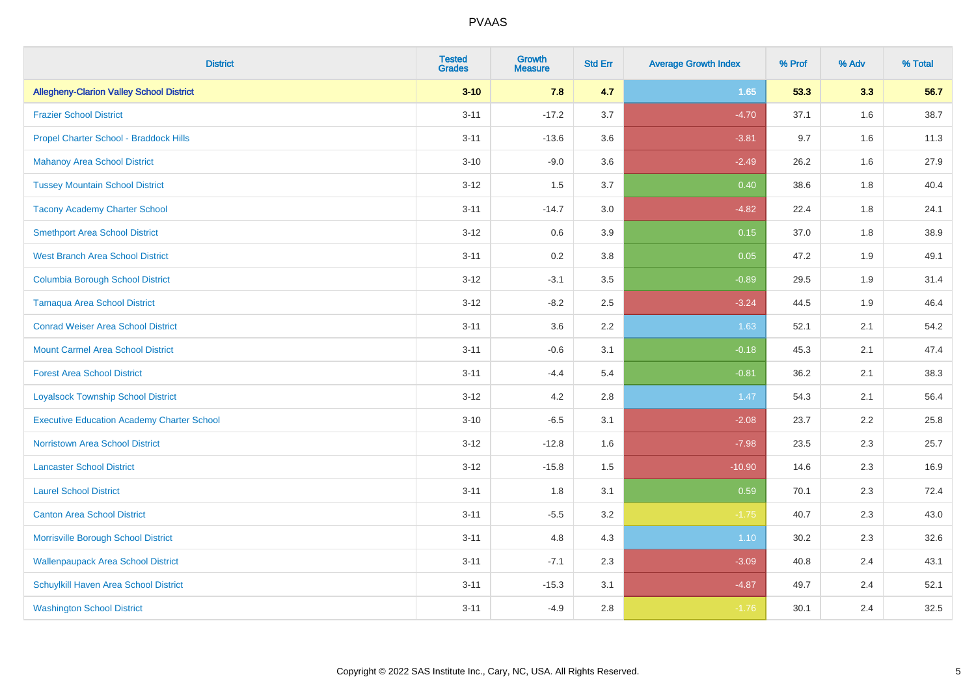| <b>District</b>                                   | <b>Tested</b><br><b>Grades</b> | <b>Growth</b><br><b>Measure</b> | <b>Std Err</b> | <b>Average Growth Index</b> | % Prof | % Adv | % Total |
|---------------------------------------------------|--------------------------------|---------------------------------|----------------|-----------------------------|--------|-------|---------|
| <b>Allegheny-Clarion Valley School District</b>   | $3 - 10$                       | 7.8                             | 4.7            | 1.65                        | 53.3   | 3.3   | 56.7    |
| <b>Frazier School District</b>                    | $3 - 11$                       | $-17.2$                         | 3.7            | $-4.70$                     | 37.1   | 1.6   | 38.7    |
| Propel Charter School - Braddock Hills            | $3 - 11$                       | $-13.6$                         | 3.6            | $-3.81$                     | 9.7    | 1.6   | 11.3    |
| <b>Mahanoy Area School District</b>               | $3 - 10$                       | $-9.0$                          | 3.6            | $-2.49$                     | 26.2   | 1.6   | 27.9    |
| <b>Tussey Mountain School District</b>            | $3 - 12$                       | 1.5                             | 3.7            | 0.40                        | 38.6   | 1.8   | 40.4    |
| <b>Tacony Academy Charter School</b>              | $3 - 11$                       | $-14.7$                         | 3.0            | $-4.82$                     | 22.4   | 1.8   | 24.1    |
| <b>Smethport Area School District</b>             | $3 - 12$                       | 0.6                             | 3.9            | 0.15                        | 37.0   | 1.8   | 38.9    |
| <b>West Branch Area School District</b>           | $3 - 11$                       | 0.2                             | 3.8            | 0.05                        | 47.2   | 1.9   | 49.1    |
| <b>Columbia Borough School District</b>           | $3 - 12$                       | $-3.1$                          | 3.5            | $-0.89$                     | 29.5   | 1.9   | 31.4    |
| <b>Tamaqua Area School District</b>               | $3 - 12$                       | $-8.2$                          | 2.5            | $-3.24$                     | 44.5   | 1.9   | 46.4    |
| <b>Conrad Weiser Area School District</b>         | $3 - 11$                       | 3.6                             | 2.2            | 1.63                        | 52.1   | 2.1   | 54.2    |
| <b>Mount Carmel Area School District</b>          | $3 - 11$                       | $-0.6$                          | 3.1            | $-0.18$                     | 45.3   | 2.1   | 47.4    |
| <b>Forest Area School District</b>                | $3 - 11$                       | $-4.4$                          | 5.4            | $-0.81$                     | 36.2   | 2.1   | 38.3    |
| <b>Loyalsock Township School District</b>         | $3 - 12$                       | 4.2                             | 2.8            | 1.47                        | 54.3   | 2.1   | 56.4    |
| <b>Executive Education Academy Charter School</b> | $3 - 10$                       | $-6.5$                          | 3.1            | $-2.08$                     | 23.7   | 2.2   | 25.8    |
| Norristown Area School District                   | $3 - 12$                       | $-12.8$                         | 1.6            | $-7.98$                     | 23.5   | 2.3   | 25.7    |
| <b>Lancaster School District</b>                  | $3 - 12$                       | $-15.8$                         | 1.5            | $-10.90$                    | 14.6   | 2.3   | 16.9    |
| <b>Laurel School District</b>                     | $3 - 11$                       | 1.8                             | 3.1            | 0.59                        | 70.1   | 2.3   | 72.4    |
| <b>Canton Area School District</b>                | $3 - 11$                       | $-5.5$                          | 3.2            | $-1.75$                     | 40.7   | 2.3   | 43.0    |
| Morrisville Borough School District               | $3 - 11$                       | 4.8                             | 4.3            | 1.10                        | 30.2   | 2.3   | 32.6    |
| <b>Wallenpaupack Area School District</b>         | $3 - 11$                       | $-7.1$                          | 2.3            | $-3.09$                     | 40.8   | 2.4   | 43.1    |
| Schuylkill Haven Area School District             | $3 - 11$                       | $-15.3$                         | 3.1            | $-4.87$                     | 49.7   | 2.4   | 52.1    |
| <b>Washington School District</b>                 | $3 - 11$                       | $-4.9$                          | 2.8            | $-1.76$                     | 30.1   | 2.4   | 32.5    |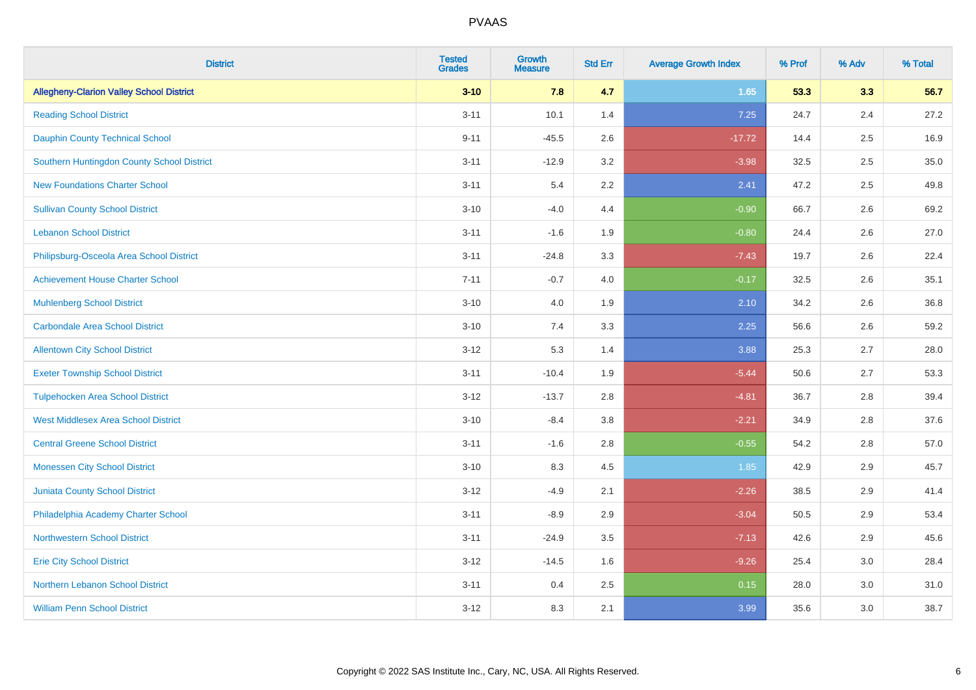| <b>District</b>                                 | <b>Tested</b><br><b>Grades</b> | <b>Growth</b><br><b>Measure</b> | <b>Std Err</b> | <b>Average Growth Index</b> | % Prof | % Adv   | % Total |
|-------------------------------------------------|--------------------------------|---------------------------------|----------------|-----------------------------|--------|---------|---------|
| <b>Allegheny-Clarion Valley School District</b> | $3 - 10$                       | 7.8                             | 4.7            | 1.65                        | 53.3   | 3.3     | 56.7    |
| <b>Reading School District</b>                  | $3 - 11$                       | 10.1                            | 1.4            | 7.25                        | 24.7   | 2.4     | 27.2    |
| <b>Dauphin County Technical School</b>          | $9 - 11$                       | $-45.5$                         | 2.6            | $-17.72$                    | 14.4   | 2.5     | 16.9    |
| Southern Huntingdon County School District      | $3 - 11$                       | $-12.9$                         | 3.2            | $-3.98$                     | 32.5   | 2.5     | 35.0    |
| <b>New Foundations Charter School</b>           | $3 - 11$                       | 5.4                             | 2.2            | 2.41                        | 47.2   | 2.5     | 49.8    |
| <b>Sullivan County School District</b>          | $3 - 10$                       | $-4.0$                          | 4.4            | $-0.90$                     | 66.7   | 2.6     | 69.2    |
| <b>Lebanon School District</b>                  | $3 - 11$                       | $-1.6$                          | 1.9            | $-0.80$                     | 24.4   | 2.6     | 27.0    |
| Philipsburg-Osceola Area School District        | $3 - 11$                       | $-24.8$                         | 3.3            | $-7.43$                     | 19.7   | 2.6     | 22.4    |
| <b>Achievement House Charter School</b>         | $7 - 11$                       | $-0.7$                          | 4.0            | $-0.17$                     | 32.5   | 2.6     | 35.1    |
| <b>Muhlenberg School District</b>               | $3 - 10$                       | 4.0                             | 1.9            | 2.10                        | 34.2   | $2.6\,$ | 36.8    |
| <b>Carbondale Area School District</b>          | $3 - 10$                       | 7.4                             | 3.3            | 2.25                        | 56.6   | 2.6     | 59.2    |
| <b>Allentown City School District</b>           | $3 - 12$                       | 5.3                             | 1.4            | 3.88                        | 25.3   | 2.7     | 28.0    |
| <b>Exeter Township School District</b>          | $3 - 11$                       | $-10.4$                         | 1.9            | $-5.44$                     | 50.6   | 2.7     | 53.3    |
| <b>Tulpehocken Area School District</b>         | $3 - 12$                       | $-13.7$                         | 2.8            | $-4.81$                     | 36.7   | 2.8     | 39.4    |
| <b>West Middlesex Area School District</b>      | $3 - 10$                       | $-8.4$                          | 3.8            | $-2.21$                     | 34.9   | 2.8     | 37.6    |
| <b>Central Greene School District</b>           | $3 - 11$                       | $-1.6$                          | 2.8            | $-0.55$                     | 54.2   | 2.8     | 57.0    |
| <b>Monessen City School District</b>            | $3 - 10$                       | 8.3                             | 4.5            | 1.85                        | 42.9   | 2.9     | 45.7    |
| Juniata County School District                  | $3 - 12$                       | $-4.9$                          | 2.1            | $-2.26$                     | 38.5   | 2.9     | 41.4    |
| Philadelphia Academy Charter School             | $3 - 11$                       | $-8.9$                          | 2.9            | $-3.04$                     | 50.5   | 2.9     | 53.4    |
| <b>Northwestern School District</b>             | $3 - 11$                       | $-24.9$                         | 3.5            | $-7.13$                     | 42.6   | 2.9     | 45.6    |
| <b>Erie City School District</b>                | $3 - 12$                       | $-14.5$                         | 1.6            | $-9.26$                     | 25.4   | 3.0     | 28.4    |
| Northern Lebanon School District                | $3 - 11$                       | 0.4                             | 2.5            | 0.15                        | 28.0   | 3.0     | 31.0    |
| <b>William Penn School District</b>             | $3 - 12$                       | 8.3                             | 2.1            | 3.99                        | 35.6   | 3.0     | 38.7    |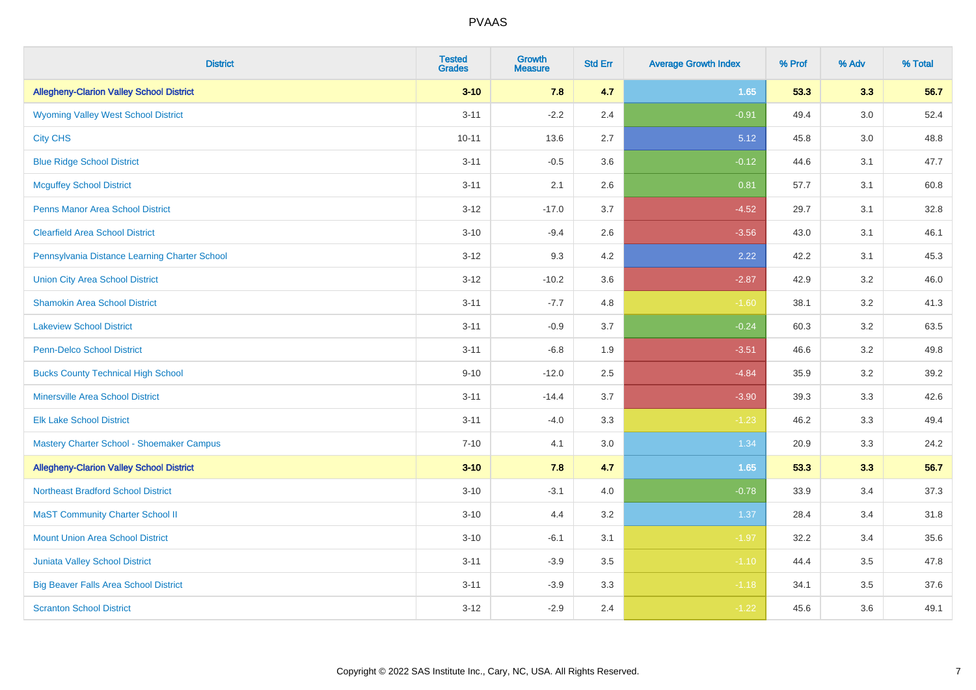| <b>District</b>                                 | <b>Tested</b><br><b>Grades</b> | <b>Growth</b><br><b>Measure</b> | <b>Std Err</b> | <b>Average Growth Index</b> | % Prof | % Adv | % Total |
|-------------------------------------------------|--------------------------------|---------------------------------|----------------|-----------------------------|--------|-------|---------|
| <b>Allegheny-Clarion Valley School District</b> | $3 - 10$                       | 7.8                             | 4.7            | 1.65                        | 53.3   | 3.3   | 56.7    |
| <b>Wyoming Valley West School District</b>      | $3 - 11$                       | $-2.2$                          | 2.4            | $-0.91$                     | 49.4   | 3.0   | 52.4    |
| <b>City CHS</b>                                 | $10 - 11$                      | 13.6                            | 2.7            | 5.12                        | 45.8   | 3.0   | 48.8    |
| <b>Blue Ridge School District</b>               | $3 - 11$                       | $-0.5$                          | 3.6            | $-0.12$                     | 44.6   | 3.1   | 47.7    |
| <b>Mcguffey School District</b>                 | $3 - 11$                       | 2.1                             | 2.6            | 0.81                        | 57.7   | 3.1   | 60.8    |
| <b>Penns Manor Area School District</b>         | $3 - 12$                       | $-17.0$                         | 3.7            | $-4.52$                     | 29.7   | 3.1   | 32.8    |
| <b>Clearfield Area School District</b>          | $3 - 10$                       | $-9.4$                          | 2.6            | $-3.56$                     | 43.0   | 3.1   | 46.1    |
| Pennsylvania Distance Learning Charter School   | $3 - 12$                       | 9.3                             | 4.2            | 2.22                        | 42.2   | 3.1   | 45.3    |
| <b>Union City Area School District</b>          | $3 - 12$                       | $-10.2$                         | 3.6            | $-2.87$                     | 42.9   | 3.2   | 46.0    |
| <b>Shamokin Area School District</b>            | $3 - 11$                       | $-7.7$                          | 4.8            | $-1.60$                     | 38.1   | 3.2   | 41.3    |
| <b>Lakeview School District</b>                 | $3 - 11$                       | $-0.9$                          | 3.7            | $-0.24$                     | 60.3   | 3.2   | 63.5    |
| <b>Penn-Delco School District</b>               | $3 - 11$                       | $-6.8$                          | 1.9            | $-3.51$                     | 46.6   | 3.2   | 49.8    |
| <b>Bucks County Technical High School</b>       | $9 - 10$                       | $-12.0$                         | 2.5            | $-4.84$                     | 35.9   | 3.2   | 39.2    |
| <b>Minersville Area School District</b>         | $3 - 11$                       | $-14.4$                         | 3.7            | $-3.90$                     | 39.3   | 3.3   | 42.6    |
| <b>Elk Lake School District</b>                 | $3 - 11$                       | $-4.0$                          | 3.3            | $-1.23$                     | 46.2   | 3.3   | 49.4    |
| Mastery Charter School - Shoemaker Campus       | $7 - 10$                       | 4.1                             | 3.0            | 1.34                        | 20.9   | 3.3   | 24.2    |
| <b>Allegheny-Clarion Valley School District</b> | $3 - 10$                       | 7.8                             | 4.7            | 1.65                        | 53.3   | 3.3   | 56.7    |
| <b>Northeast Bradford School District</b>       | $3 - 10$                       | $-3.1$                          | 4.0            | $-0.78$                     | 33.9   | 3.4   | 37.3    |
| <b>MaST Community Charter School II</b>         | $3 - 10$                       | 4.4                             | 3.2            | 1.37                        | 28.4   | 3.4   | 31.8    |
| <b>Mount Union Area School District</b>         | $3 - 10$                       | $-6.1$                          | 3.1            | $-1.97$                     | 32.2   | 3.4   | 35.6    |
| <b>Juniata Valley School District</b>           | $3 - 11$                       | $-3.9$                          | 3.5            | $-1.10$                     | 44.4   | 3.5   | 47.8    |
| <b>Big Beaver Falls Area School District</b>    | $3 - 11$                       | $-3.9$                          | 3.3            | $-1.18$                     | 34.1   | 3.5   | 37.6    |
| <b>Scranton School District</b>                 | $3-12$                         | $-2.9$                          | 2.4            | $-1.22$                     | 45.6   | 3.6   | 49.1    |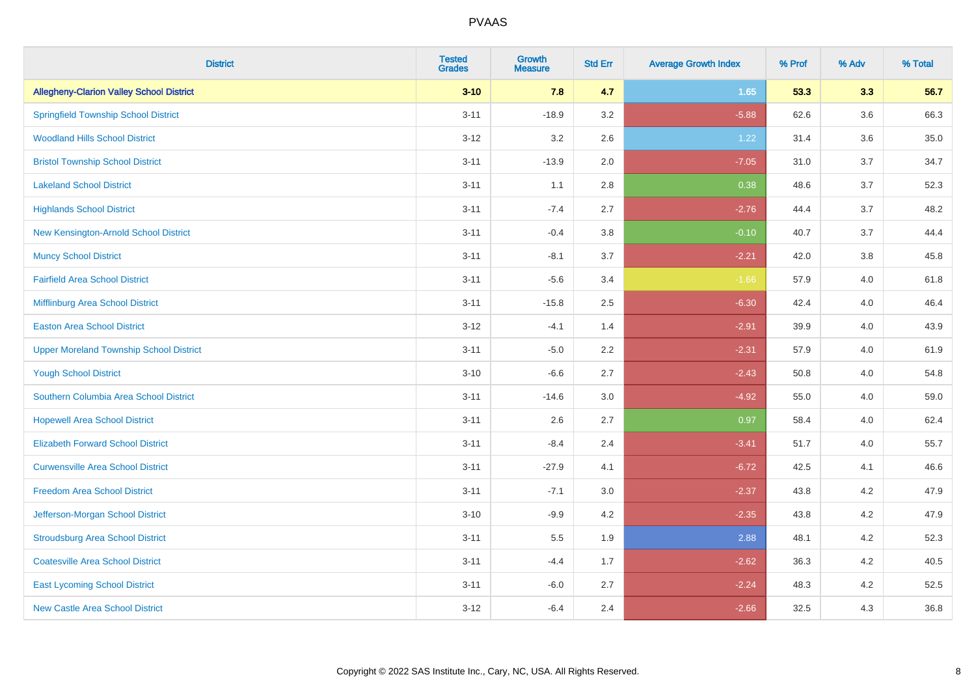| <b>District</b>                                 | <b>Tested</b><br><b>Grades</b> | <b>Growth</b><br><b>Measure</b> | <b>Std Err</b> | <b>Average Growth Index</b> | % Prof | % Adv   | % Total |
|-------------------------------------------------|--------------------------------|---------------------------------|----------------|-----------------------------|--------|---------|---------|
| <b>Allegheny-Clarion Valley School District</b> | $3 - 10$                       | 7.8                             | 4.7            | 1.65                        | 53.3   | 3.3     | 56.7    |
| <b>Springfield Township School District</b>     | $3 - 11$                       | $-18.9$                         | 3.2            | $-5.88$                     | 62.6   | $3.6\,$ | 66.3    |
| <b>Woodland Hills School District</b>           | $3 - 12$                       | 3.2                             | 2.6            | 1.22                        | 31.4   | 3.6     | 35.0    |
| <b>Bristol Township School District</b>         | $3 - 11$                       | $-13.9$                         | 2.0            | $-7.05$                     | 31.0   | 3.7     | 34.7    |
| <b>Lakeland School District</b>                 | $3 - 11$                       | 1.1                             | 2.8            | 0.38                        | 48.6   | 3.7     | 52.3    |
| <b>Highlands School District</b>                | $3 - 11$                       | $-7.4$                          | 2.7            | $-2.76$                     | 44.4   | 3.7     | 48.2    |
| New Kensington-Arnold School District           | $3 - 11$                       | $-0.4$                          | 3.8            | $-0.10$                     | 40.7   | 3.7     | 44.4    |
| <b>Muncy School District</b>                    | $3 - 11$                       | $-8.1$                          | 3.7            | $-2.21$                     | 42.0   | 3.8     | 45.8    |
| <b>Fairfield Area School District</b>           | $3 - 11$                       | $-5.6$                          | 3.4            | $-1.66$                     | 57.9   | 4.0     | 61.8    |
| Mifflinburg Area School District                | $3 - 11$                       | $-15.8$                         | 2.5            | $-6.30$                     | 42.4   | 4.0     | 46.4    |
| <b>Easton Area School District</b>              | $3 - 12$                       | $-4.1$                          | 1.4            | $-2.91$                     | 39.9   | 4.0     | 43.9    |
| <b>Upper Moreland Township School District</b>  | $3 - 11$                       | $-5.0$                          | 2.2            | $-2.31$                     | 57.9   | 4.0     | 61.9    |
| <b>Yough School District</b>                    | $3 - 10$                       | $-6.6$                          | 2.7            | $-2.43$                     | 50.8   | 4.0     | 54.8    |
| Southern Columbia Area School District          | $3 - 11$                       | $-14.6$                         | 3.0            | $-4.92$                     | 55.0   | 4.0     | 59.0    |
| <b>Hopewell Area School District</b>            | $3 - 11$                       | 2.6                             | 2.7            | 0.97                        | 58.4   | 4.0     | 62.4    |
| <b>Elizabeth Forward School District</b>        | $3 - 11$                       | $-8.4$                          | 2.4            | $-3.41$                     | 51.7   | 4.0     | 55.7    |
| <b>Curwensville Area School District</b>        | $3 - 11$                       | $-27.9$                         | 4.1            | $-6.72$                     | 42.5   | 4.1     | 46.6    |
| <b>Freedom Area School District</b>             | $3 - 11$                       | $-7.1$                          | 3.0            | $-2.37$                     | 43.8   | 4.2     | 47.9    |
| Jefferson-Morgan School District                | $3 - 10$                       | $-9.9$                          | 4.2            | $-2.35$                     | 43.8   | 4.2     | 47.9    |
| <b>Stroudsburg Area School District</b>         | $3 - 11$                       | $5.5\,$                         | 1.9            | 2.88                        | 48.1   | 4.2     | 52.3    |
| <b>Coatesville Area School District</b>         | $3 - 11$                       | $-4.4$                          | 1.7            | $-2.62$                     | 36.3   | 4.2     | 40.5    |
| <b>East Lycoming School District</b>            | $3 - 11$                       | $-6.0$                          | 2.7            | $-2.24$                     | 48.3   | 4.2     | 52.5    |
| <b>New Castle Area School District</b>          | $3 - 12$                       | $-6.4$                          | 2.4            | $-2.66$                     | 32.5   | 4.3     | 36.8    |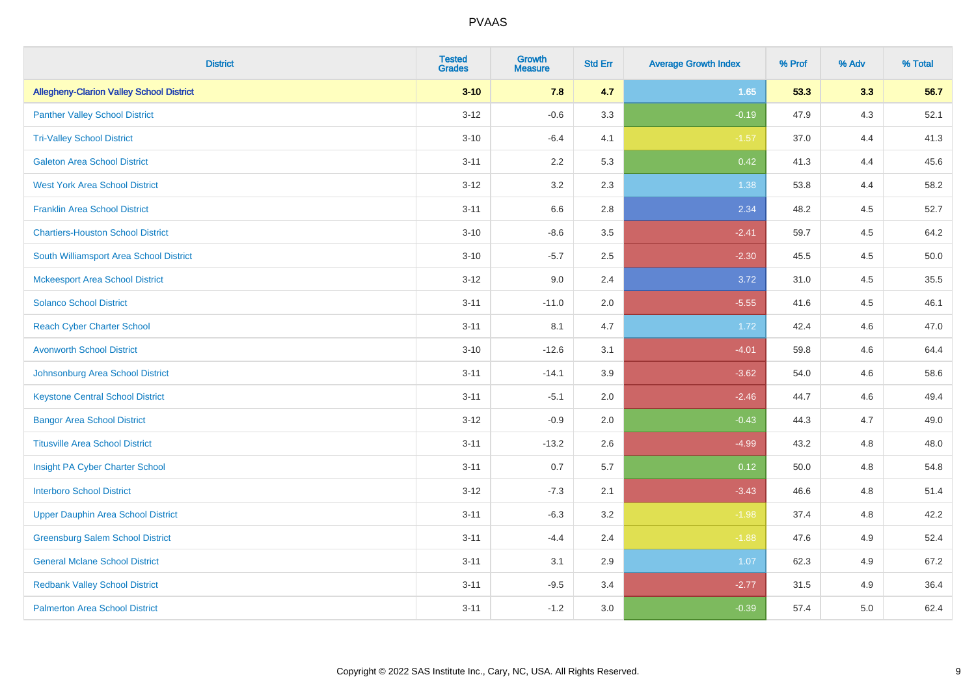| <b>District</b>                                 | <b>Tested</b><br><b>Grades</b> | <b>Growth</b><br><b>Measure</b> | <b>Std Err</b> | <b>Average Growth Index</b> | % Prof | % Adv | % Total |
|-------------------------------------------------|--------------------------------|---------------------------------|----------------|-----------------------------|--------|-------|---------|
| <b>Allegheny-Clarion Valley School District</b> | $3 - 10$                       | 7.8                             | 4.7            | 1.65                        | 53.3   | 3.3   | 56.7    |
| <b>Panther Valley School District</b>           | $3 - 12$                       | $-0.6$                          | 3.3            | $-0.19$                     | 47.9   | $4.3$ | 52.1    |
| <b>Tri-Valley School District</b>               | $3 - 10$                       | $-6.4$                          | 4.1            | $-1.57$                     | 37.0   | 4.4   | 41.3    |
| <b>Galeton Area School District</b>             | $3 - 11$                       | 2.2                             | 5.3            | 0.42                        | 41.3   | 4.4   | 45.6    |
| <b>West York Area School District</b>           | $3 - 12$                       | 3.2                             | 2.3            | 1.38                        | 53.8   | 4.4   | 58.2    |
| <b>Franklin Area School District</b>            | $3 - 11$                       | 6.6                             | 2.8            | 2.34                        | 48.2   | 4.5   | 52.7    |
| <b>Chartiers-Houston School District</b>        | $3 - 10$                       | $-8.6$                          | 3.5            | $-2.41$                     | 59.7   | 4.5   | 64.2    |
| South Williamsport Area School District         | $3 - 10$                       | $-5.7$                          | 2.5            | $-2.30$                     | 45.5   | 4.5   | 50.0    |
| <b>Mckeesport Area School District</b>          | $3 - 12$                       | 9.0                             | 2.4            | 3.72                        | 31.0   | 4.5   | 35.5    |
| <b>Solanco School District</b>                  | $3 - 11$                       | $-11.0$                         | 2.0            | $-5.55$                     | 41.6   | 4.5   | 46.1    |
| <b>Reach Cyber Charter School</b>               | $3 - 11$                       | 8.1                             | 4.7            | 1.72                        | 42.4   | 4.6   | 47.0    |
| <b>Avonworth School District</b>                | $3 - 10$                       | $-12.6$                         | 3.1            | $-4.01$                     | 59.8   | 4.6   | 64.4    |
| Johnsonburg Area School District                | $3 - 11$                       | $-14.1$                         | 3.9            | $-3.62$                     | 54.0   | 4.6   | 58.6    |
| <b>Keystone Central School District</b>         | $3 - 11$                       | $-5.1$                          | 2.0            | $-2.46$                     | 44.7   | 4.6   | 49.4    |
| <b>Bangor Area School District</b>              | $3 - 12$                       | $-0.9$                          | 2.0            | $-0.43$                     | 44.3   | 4.7   | 49.0    |
| <b>Titusville Area School District</b>          | $3 - 11$                       | $-13.2$                         | 2.6            | $-4.99$                     | 43.2   | 4.8   | 48.0    |
| Insight PA Cyber Charter School                 | $3 - 11$                       | 0.7                             | 5.7            | 0.12                        | 50.0   | 4.8   | 54.8    |
| <b>Interboro School District</b>                | $3 - 12$                       | $-7.3$                          | 2.1            | $-3.43$                     | 46.6   | 4.8   | 51.4    |
| <b>Upper Dauphin Area School District</b>       | $3 - 11$                       | $-6.3$                          | 3.2            | $-1.98$                     | 37.4   | 4.8   | 42.2    |
| <b>Greensburg Salem School District</b>         | $3 - 11$                       | $-4.4$                          | 2.4            | $-1.88$                     | 47.6   | 4.9   | 52.4    |
| <b>General Mclane School District</b>           | $3 - 11$                       | 3.1                             | 2.9            | 1.07                        | 62.3   | 4.9   | 67.2    |
| <b>Redbank Valley School District</b>           | $3 - 11$                       | $-9.5$                          | 3.4            | $-2.77$                     | 31.5   | 4.9   | 36.4    |
| <b>Palmerton Area School District</b>           | $3 - 11$                       | $-1.2$                          | 3.0            | $-0.39$                     | 57.4   | 5.0   | 62.4    |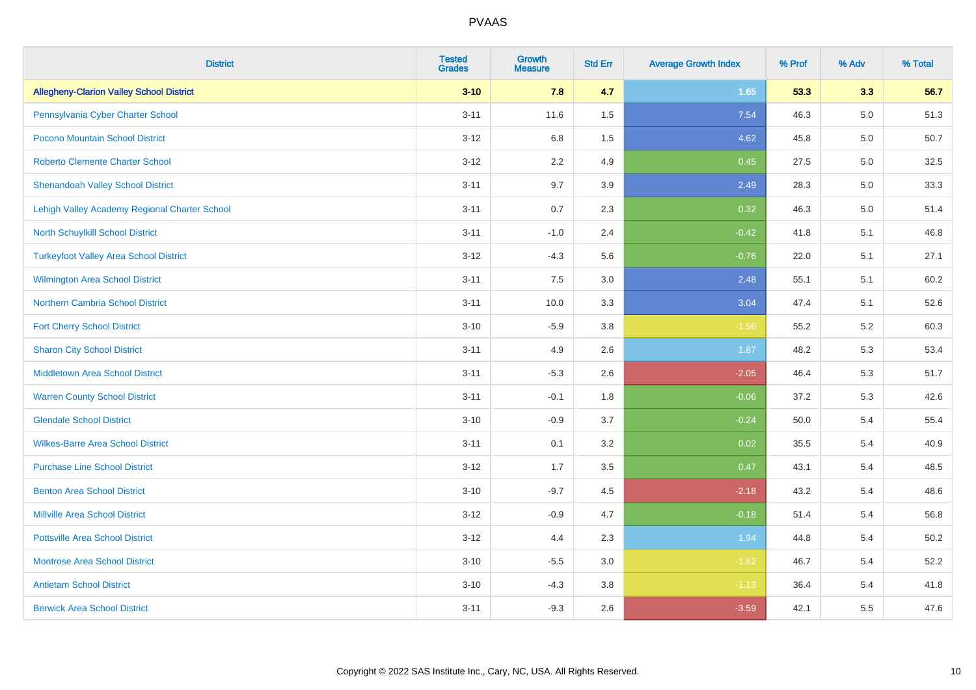| <b>District</b>                                 | <b>Tested</b><br><b>Grades</b> | Growth<br><b>Measure</b> | <b>Std Err</b> | <b>Average Growth Index</b> | % Prof | % Adv   | % Total |
|-------------------------------------------------|--------------------------------|--------------------------|----------------|-----------------------------|--------|---------|---------|
| <b>Allegheny-Clarion Valley School District</b> | $3 - 10$                       | 7.8                      | 4.7            | 1.65                        | 53.3   | 3.3     | 56.7    |
| Pennsylvania Cyber Charter School               | $3 - 11$                       | 11.6                     | 1.5            | 7.54                        | 46.3   | $5.0\,$ | 51.3    |
| Pocono Mountain School District                 | $3 - 12$                       | 6.8                      | 1.5            | 4.62                        | 45.8   | 5.0     | 50.7    |
| <b>Roberto Clemente Charter School</b>          | $3 - 12$                       | 2.2                      | 4.9            | 0.45                        | 27.5   | 5.0     | 32.5    |
| <b>Shenandoah Valley School District</b>        | $3 - 11$                       | 9.7                      | 3.9            | 2.49                        | 28.3   | 5.0     | 33.3    |
| Lehigh Valley Academy Regional Charter School   | $3 - 11$                       | 0.7                      | 2.3            | 0.32                        | 46.3   | $5.0\,$ | 51.4    |
| <b>North Schuylkill School District</b>         | $3 - 11$                       | $-1.0$                   | 2.4            | $-0.42$                     | 41.8   | 5.1     | 46.8    |
| <b>Turkeyfoot Valley Area School District</b>   | $3 - 12$                       | $-4.3$                   | 5.6            | $-0.76$                     | 22.0   | 5.1     | 27.1    |
| Wilmington Area School District                 | $3 - 11$                       | 7.5                      | 3.0            | 2.48                        | 55.1   | 5.1     | 60.2    |
| Northern Cambria School District                | $3 - 11$                       | 10.0                     | 3.3            | 3.04                        | 47.4   | 5.1     | 52.6    |
| <b>Fort Cherry School District</b>              | $3 - 10$                       | $-5.9$                   | 3.8            | $-1.56$                     | 55.2   | 5.2     | 60.3    |
| <b>Sharon City School District</b>              | $3 - 11$                       | 4.9                      | 2.6            | 1.87                        | 48.2   | 5.3     | 53.4    |
| Middletown Area School District                 | $3 - 11$                       | $-5.3$                   | 2.6            | $-2.05$                     | 46.4   | 5.3     | 51.7    |
| <b>Warren County School District</b>            | $3 - 11$                       | $-0.1$                   | 1.8            | $-0.06$                     | 37.2   | 5.3     | 42.6    |
| <b>Glendale School District</b>                 | $3 - 10$                       | $-0.9$                   | 3.7            | $-0.24$                     | 50.0   | 5.4     | 55.4    |
| <b>Wilkes-Barre Area School District</b>        | $3 - 11$                       | 0.1                      | 3.2            | 0.02                        | 35.5   | 5.4     | 40.9    |
| <b>Purchase Line School District</b>            | $3 - 12$                       | 1.7                      | 3.5            | 0.47                        | 43.1   | 5.4     | 48.5    |
| <b>Benton Area School District</b>              | $3 - 10$                       | $-9.7$                   | 4.5            | $-2.18$                     | 43.2   | 5.4     | 48.6    |
| <b>Millville Area School District</b>           | $3 - 12$                       | $-0.9$                   | 4.7            | $-0.18$                     | 51.4   | 5.4     | 56.8    |
| <b>Pottsville Area School District</b>          | $3 - 12$                       | 4.4                      | 2.3            | 1.94                        | 44.8   | 5.4     | 50.2    |
| <b>Montrose Area School District</b>            | $3 - 10$                       | $-5.5$                   | 3.0            | $-1.82$                     | 46.7   | 5.4     | 52.2    |
| <b>Antietam School District</b>                 | $3 - 10$                       | $-4.3$                   | 3.8            | $-1.13$                     | 36.4   | 5.4     | 41.8    |
| <b>Berwick Area School District</b>             | $3 - 11$                       | $-9.3$                   | 2.6            | $-3.59$                     | 42.1   | 5.5     | 47.6    |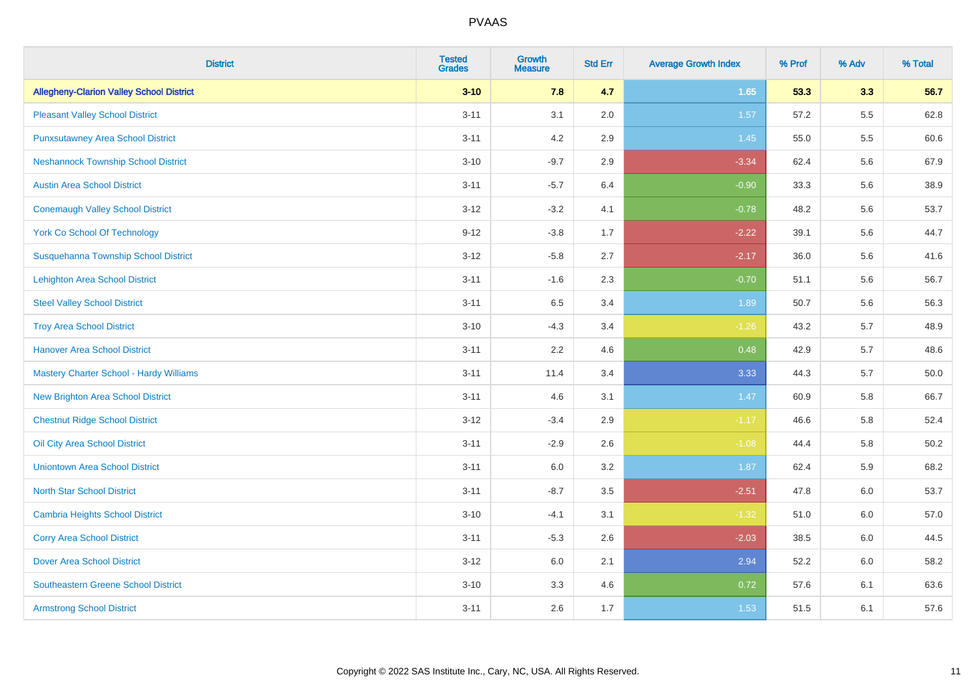| <b>District</b>                                 | <b>Tested</b><br><b>Grades</b> | Growth<br><b>Measure</b> | <b>Std Err</b> | <b>Average Growth Index</b> | % Prof | % Adv | % Total  |
|-------------------------------------------------|--------------------------------|--------------------------|----------------|-----------------------------|--------|-------|----------|
| <b>Allegheny-Clarion Valley School District</b> | $3 - 10$                       | 7.8                      | 4.7            | 1.65                        | 53.3   | 3.3   | 56.7     |
| <b>Pleasant Valley School District</b>          | $3 - 11$                       | 3.1                      | 2.0            | 1.57                        | 57.2   | 5.5   | 62.8     |
| <b>Punxsutawney Area School District</b>        | $3 - 11$                       | 4.2                      | 2.9            | 1.45                        | 55.0   | 5.5   | 60.6     |
| <b>Neshannock Township School District</b>      | $3 - 10$                       | $-9.7$                   | 2.9            | $-3.34$                     | 62.4   | 5.6   | 67.9     |
| <b>Austin Area School District</b>              | $3 - 11$                       | $-5.7$                   | 6.4            | $-0.90$                     | 33.3   | 5.6   | 38.9     |
| <b>Conemaugh Valley School District</b>         | $3 - 12$                       | $-3.2$                   | 4.1            | $-0.78$                     | 48.2   | 5.6   | 53.7     |
| <b>York Co School Of Technology</b>             | $9 - 12$                       | $-3.8$                   | 1.7            | $-2.22$                     | 39.1   | 5.6   | 44.7     |
| Susquehanna Township School District            | $3 - 12$                       | $-5.8$                   | 2.7            | $-2.17$                     | 36.0   | 5.6   | 41.6     |
| Lehighton Area School District                  | $3 - 11$                       | $-1.6$                   | 2.3            | $-0.70$                     | 51.1   | 5.6   | 56.7     |
| <b>Steel Valley School District</b>             | $3 - 11$                       | 6.5                      | 3.4            | 1.89                        | 50.7   | 5.6   | 56.3     |
| <b>Troy Area School District</b>                | $3 - 10$                       | $-4.3$                   | 3.4            | $-1.26$                     | 43.2   | 5.7   | 48.9     |
| <b>Hanover Area School District</b>             | $3 - 11$                       | 2.2                      | 4.6            | 0.48                        | 42.9   | 5.7   | 48.6     |
| Mastery Charter School - Hardy Williams         | $3 - 11$                       | 11.4                     | 3.4            | 3.33                        | 44.3   | 5.7   | $50.0\,$ |
| <b>New Brighton Area School District</b>        | $3 - 11$                       | 4.6                      | 3.1            | 1.47                        | 60.9   | 5.8   | 66.7     |
| <b>Chestnut Ridge School District</b>           | $3 - 12$                       | $-3.4$                   | 2.9            | $-1.17$                     | 46.6   | 5.8   | 52.4     |
| Oil City Area School District                   | $3 - 11$                       | $-2.9$                   | 2.6            | $-1.08$                     | 44.4   | 5.8   | 50.2     |
| <b>Uniontown Area School District</b>           | $3 - 11$                       | 6.0                      | 3.2            | 1.87                        | 62.4   | 5.9   | 68.2     |
| <b>North Star School District</b>               | $3 - 11$                       | $-8.7$                   | 3.5            | $-2.51$                     | 47.8   | 6.0   | 53.7     |
| <b>Cambria Heights School District</b>          | $3 - 10$                       | $-4.1$                   | 3.1            | $-1.32$                     | 51.0   | 6.0   | 57.0     |
| <b>Corry Area School District</b>               | $3 - 11$                       | $-5.3$                   | 2.6            | $-2.03$                     | 38.5   | 6.0   | 44.5     |
| <b>Dover Area School District</b>               | $3 - 12$                       | 6.0                      | 2.1            | 2.94                        | 52.2   | 6.0   | 58.2     |
| <b>Southeastern Greene School District</b>      | $3 - 10$                       | 3.3                      | 4.6            | 0.72                        | 57.6   | 6.1   | 63.6     |
| <b>Armstrong School District</b>                | $3 - 11$                       | 2.6                      | 1.7            | 1.53                        | 51.5   | 6.1   | 57.6     |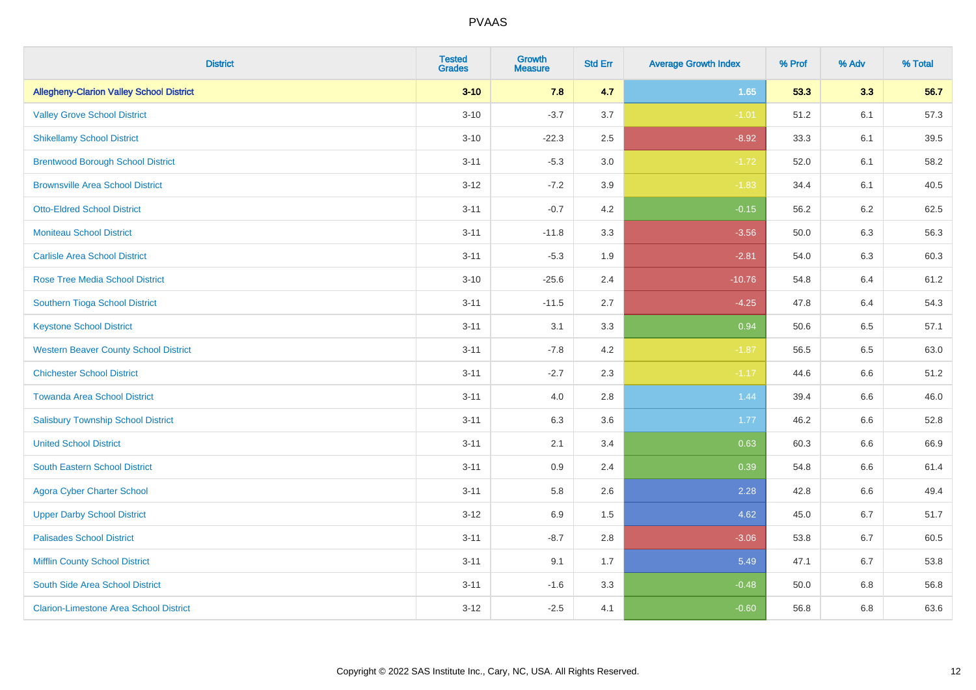| <b>District</b>                                 | <b>Tested</b><br><b>Grades</b> | Growth<br><b>Measure</b> | <b>Std Err</b> | <b>Average Growth Index</b> | % Prof | % Adv   | % Total |
|-------------------------------------------------|--------------------------------|--------------------------|----------------|-----------------------------|--------|---------|---------|
| <b>Allegheny-Clarion Valley School District</b> | $3 - 10$                       | 7.8                      | 4.7            | 1.65                        | 53.3   | 3.3     | 56.7    |
| <b>Valley Grove School District</b>             | $3 - 10$                       | $-3.7$                   | 3.7            | $-1.01$                     | 51.2   | 6.1     | 57.3    |
| <b>Shikellamy School District</b>               | $3 - 10$                       | $-22.3$                  | 2.5            | $-8.92$                     | 33.3   | 6.1     | 39.5    |
| <b>Brentwood Borough School District</b>        | $3 - 11$                       | $-5.3$                   | 3.0            | $-1.72$                     | 52.0   | 6.1     | 58.2    |
| <b>Brownsville Area School District</b>         | $3-12$                         | $-7.2$                   | 3.9            | $-1.83$                     | 34.4   | 6.1     | 40.5    |
| <b>Otto-Eldred School District</b>              | $3 - 11$                       | $-0.7$                   | 4.2            | $-0.15$                     | 56.2   | $6.2\,$ | 62.5    |
| <b>Moniteau School District</b>                 | $3 - 11$                       | $-11.8$                  | 3.3            | $-3.56$                     | 50.0   | 6.3     | 56.3    |
| <b>Carlisle Area School District</b>            | $3 - 11$                       | $-5.3$                   | 1.9            | $-2.81$                     | 54.0   | 6.3     | 60.3    |
| <b>Rose Tree Media School District</b>          | $3 - 10$                       | $-25.6$                  | 2.4            | $-10.76$                    | 54.8   | 6.4     | 61.2    |
| <b>Southern Tioga School District</b>           | $3 - 11$                       | $-11.5$                  | 2.7            | $-4.25$                     | 47.8   | 6.4     | 54.3    |
| <b>Keystone School District</b>                 | $3 - 11$                       | 3.1                      | 3.3            | 0.94                        | 50.6   | 6.5     | 57.1    |
| <b>Western Beaver County School District</b>    | $3 - 11$                       | $-7.8$                   | 4.2            | $-1.87$                     | 56.5   | 6.5     | 63.0    |
| <b>Chichester School District</b>               | $3 - 11$                       | $-2.7$                   | 2.3            | $-1.17$                     | 44.6   | 6.6     | 51.2    |
| <b>Towanda Area School District</b>             | $3 - 11$                       | 4.0                      | 2.8            | 1.44                        | 39.4   | 6.6     | 46.0    |
| <b>Salisbury Township School District</b>       | $3 - 11$                       | 6.3                      | 3.6            | 1.77                        | 46.2   | 6.6     | 52.8    |
| <b>United School District</b>                   | $3 - 11$                       | 2.1                      | 3.4            | 0.63                        | 60.3   | 6.6     | 66.9    |
| <b>South Eastern School District</b>            | $3 - 11$                       | 0.9                      | 2.4            | 0.39                        | 54.8   | 6.6     | 61.4    |
| <b>Agora Cyber Charter School</b>               | $3 - 11$                       | 5.8                      | 2.6            | 2.28                        | 42.8   | 6.6     | 49.4    |
| <b>Upper Darby School District</b>              | $3 - 12$                       | 6.9                      | 1.5            | 4.62                        | 45.0   | 6.7     | 51.7    |
| <b>Palisades School District</b>                | $3 - 11$                       | $-8.7$                   | 2.8            | $-3.06$                     | 53.8   | 6.7     | 60.5    |
| <b>Mifflin County School District</b>           | $3 - 11$                       | 9.1                      | 1.7            | 5.49                        | 47.1   | 6.7     | 53.8    |
| South Side Area School District                 | $3 - 11$                       | $-1.6$                   | 3.3            | $-0.48$                     | 50.0   | 6.8     | 56.8    |
| <b>Clarion-Limestone Area School District</b>   | $3 - 12$                       | $-2.5$                   | 4.1            | $-0.60$                     | 56.8   | 6.8     | 63.6    |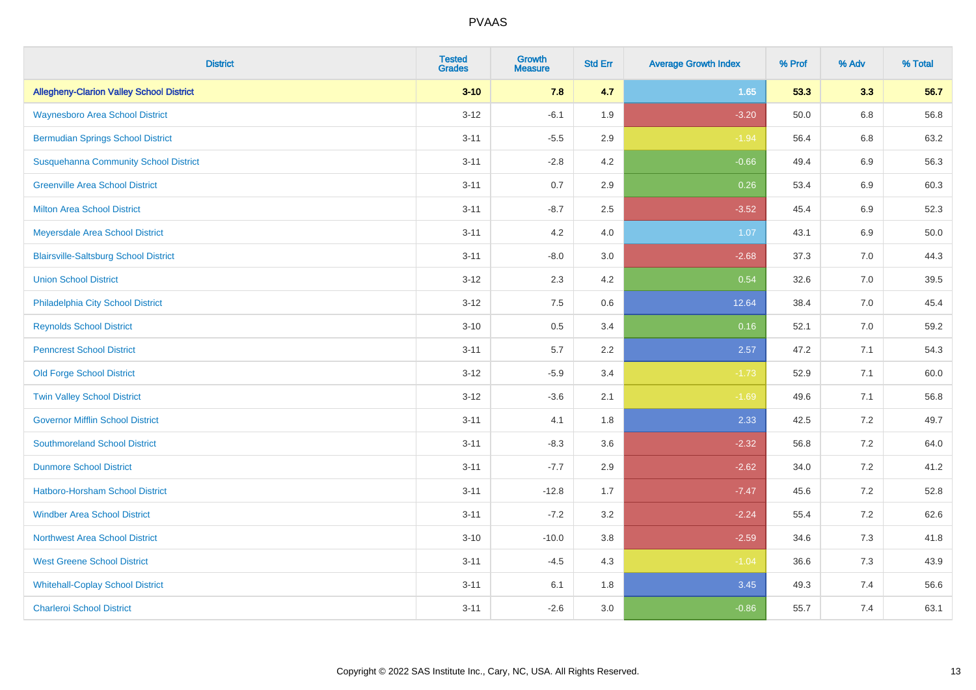| <b>District</b>                                 | <b>Tested</b><br><b>Grades</b> | Growth<br><b>Measure</b> | <b>Std Err</b> | <b>Average Growth Index</b> | % Prof | % Adv   | % Total |
|-------------------------------------------------|--------------------------------|--------------------------|----------------|-----------------------------|--------|---------|---------|
| <b>Allegheny-Clarion Valley School District</b> | $3 - 10$                       | 7.8                      | 4.7            | 1.65                        | 53.3   | 3.3     | 56.7    |
| <b>Waynesboro Area School District</b>          | $3-12$                         | $-6.1$                   | 1.9            | $-3.20$                     | 50.0   | 6.8     | 56.8    |
| <b>Bermudian Springs School District</b>        | $3 - 11$                       | $-5.5$                   | 2.9            | $-1.94$                     | 56.4   | $6.8\,$ | 63.2    |
| <b>Susquehanna Community School District</b>    | $3 - 11$                       | $-2.8$                   | 4.2            | $-0.66$                     | 49.4   | 6.9     | 56.3    |
| <b>Greenville Area School District</b>          | $3 - 11$                       | 0.7                      | 2.9            | 0.26                        | 53.4   | 6.9     | 60.3    |
| <b>Milton Area School District</b>              | $3 - 11$                       | $-8.7$                   | 2.5            | $-3.52$                     | 45.4   | $6.9\,$ | 52.3    |
| Meyersdale Area School District                 | $3 - 11$                       | 4.2                      | 4.0            | 1.07                        | 43.1   | 6.9     | 50.0    |
| <b>Blairsville-Saltsburg School District</b>    | $3 - 11$                       | $-8.0$                   | 3.0            | $-2.68$                     | 37.3   | 7.0     | 44.3    |
| <b>Union School District</b>                    | $3 - 12$                       | 2.3                      | 4.2            | 0.54                        | 32.6   | 7.0     | 39.5    |
| Philadelphia City School District               | $3 - 12$                       | 7.5                      | 0.6            | 12.64                       | 38.4   | 7.0     | 45.4    |
| <b>Reynolds School District</b>                 | $3 - 10$                       | 0.5                      | 3.4            | 0.16                        | 52.1   | 7.0     | 59.2    |
| <b>Penncrest School District</b>                | $3 - 11$                       | 5.7                      | 2.2            | 2.57                        | 47.2   | 7.1     | 54.3    |
| <b>Old Forge School District</b>                | $3 - 12$                       | $-5.9$                   | 3.4            | $-1.73$                     | 52.9   | 7.1     | 60.0    |
| <b>Twin Valley School District</b>              | $3 - 12$                       | $-3.6$                   | 2.1            | $-1.69$                     | 49.6   | 7.1     | 56.8    |
| <b>Governor Mifflin School District</b>         | $3 - 11$                       | 4.1                      | 1.8            | 2.33                        | 42.5   | 7.2     | 49.7    |
| <b>Southmoreland School District</b>            | $3 - 11$                       | $-8.3$                   | 3.6            | $-2.32$                     | 56.8   | 7.2     | 64.0    |
| <b>Dunmore School District</b>                  | $3 - 11$                       | $-7.7$                   | 2.9            | $-2.62$                     | 34.0   | 7.2     | 41.2    |
| Hatboro-Horsham School District                 | $3 - 11$                       | $-12.8$                  | 1.7            | $-7.47$                     | 45.6   | 7.2     | 52.8    |
| <b>Windber Area School District</b>             | $3 - 11$                       | $-7.2$                   | 3.2            | $-2.24$                     | 55.4   | 7.2     | 62.6    |
| <b>Northwest Area School District</b>           | $3 - 10$                       | $-10.0$                  | 3.8            | $-2.59$                     | 34.6   | 7.3     | 41.8    |
| <b>West Greene School District</b>              | $3 - 11$                       | $-4.5$                   | 4.3            | $-1.04$                     | 36.6   | 7.3     | 43.9    |
| <b>Whitehall-Coplay School District</b>         | $3 - 11$                       | 6.1                      | 1.8            | 3.45                        | 49.3   | 7.4     | 56.6    |
| <b>Charleroi School District</b>                | $3 - 11$                       | $-2.6$                   | 3.0            | $-0.86$                     | 55.7   | 7.4     | 63.1    |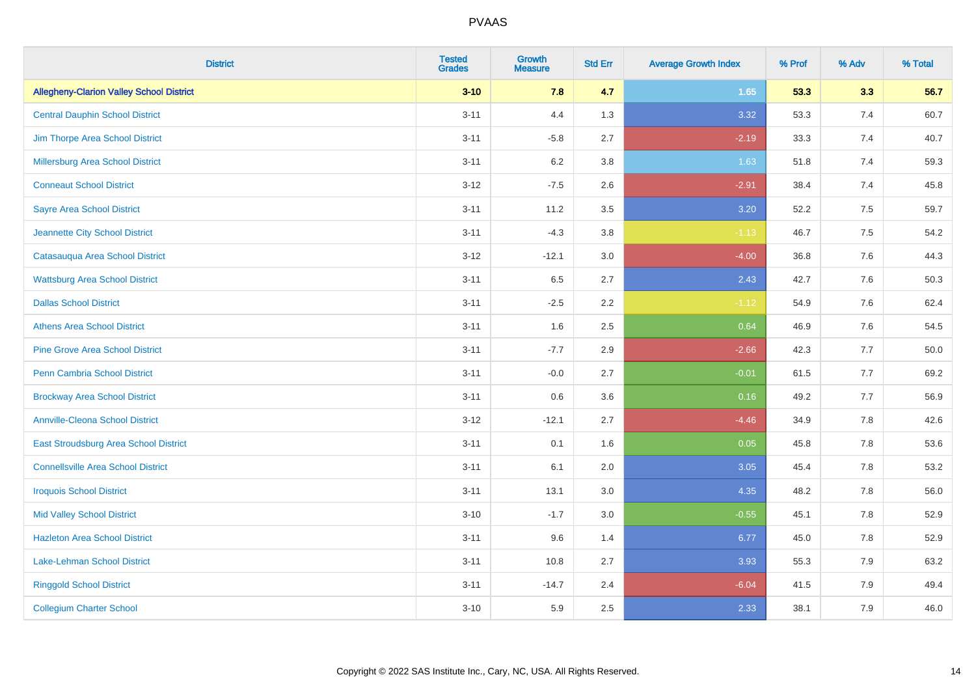| <b>District</b>                                 | <b>Tested</b><br><b>Grades</b> | Growth<br><b>Measure</b> | <b>Std Err</b> | <b>Average Growth Index</b> | % Prof | % Adv   | % Total |
|-------------------------------------------------|--------------------------------|--------------------------|----------------|-----------------------------|--------|---------|---------|
| <b>Allegheny-Clarion Valley School District</b> | $3 - 10$                       | 7.8                      | 4.7            | 1.65                        | 53.3   | 3.3     | 56.7    |
| <b>Central Dauphin School District</b>          | $3 - 11$                       | 4.4                      | 1.3            | 3.32                        | 53.3   | 7.4     | 60.7    |
| Jim Thorpe Area School District                 | $3 - 11$                       | $-5.8$                   | 2.7            | $-2.19$                     | 33.3   | 7.4     | 40.7    |
| <b>Millersburg Area School District</b>         | $3 - 11$                       | 6.2                      | 3.8            | 1.63                        | 51.8   | 7.4     | 59.3    |
| <b>Conneaut School District</b>                 | $3 - 12$                       | $-7.5$                   | 2.6            | $-2.91$                     | 38.4   | 7.4     | 45.8    |
| <b>Sayre Area School District</b>               | $3 - 11$                       | 11.2                     | 3.5            | 3.20                        | 52.2   | $7.5\,$ | 59.7    |
| Jeannette City School District                  | $3 - 11$                       | $-4.3$                   | 3.8            | $-1.13$                     | 46.7   | $7.5\,$ | 54.2    |
| Catasauqua Area School District                 | $3 - 12$                       | $-12.1$                  | 3.0            | $-4.00$                     | 36.8   | 7.6     | 44.3    |
| <b>Wattsburg Area School District</b>           | $3 - 11$                       | 6.5                      | 2.7            | 2.43                        | 42.7   | 7.6     | 50.3    |
| <b>Dallas School District</b>                   | $3 - 11$                       | $-2.5$                   | 2.2            | $-1.12$                     | 54.9   | 7.6     | 62.4    |
| <b>Athens Area School District</b>              | $3 - 11$                       | 1.6                      | 2.5            | 0.64                        | 46.9   | 7.6     | 54.5    |
| <b>Pine Grove Area School District</b>          | $3 - 11$                       | $-7.7$                   | 2.9            | $-2.66$                     | 42.3   | 7.7     | 50.0    |
| Penn Cambria School District                    | $3 - 11$                       | $-0.0$                   | 2.7            | $-0.01$                     | 61.5   | 7.7     | 69.2    |
| <b>Brockway Area School District</b>            | $3 - 11$                       | 0.6                      | 3.6            | 0.16                        | 49.2   | 7.7     | 56.9    |
| <b>Annville-Cleona School District</b>          | $3 - 12$                       | $-12.1$                  | 2.7            | $-4.46$                     | 34.9   | 7.8     | 42.6    |
| East Stroudsburg Area School District           | $3 - 11$                       | 0.1                      | 1.6            | 0.05                        | 45.8   | 7.8     | 53.6    |
| <b>Connellsville Area School District</b>       | $3 - 11$                       | 6.1                      | 2.0            | 3.05                        | 45.4   | 7.8     | 53.2    |
| <b>Iroquois School District</b>                 | $3 - 11$                       | 13.1                     | 3.0            | 4.35                        | 48.2   | 7.8     | 56.0    |
| <b>Mid Valley School District</b>               | $3 - 10$                       | $-1.7$                   | 3.0            | $-0.55$                     | 45.1   | 7.8     | 52.9    |
| <b>Hazleton Area School District</b>            | $3 - 11$                       | 9.6                      | 1.4            | 6.77                        | 45.0   | 7.8     | 52.9    |
| <b>Lake-Lehman School District</b>              | $3 - 11$                       | 10.8                     | 2.7            | 3.93                        | 55.3   | 7.9     | 63.2    |
| <b>Ringgold School District</b>                 | $3 - 11$                       | $-14.7$                  | 2.4            | $-6.04$                     | 41.5   | 7.9     | 49.4    |
| <b>Collegium Charter School</b>                 | $3 - 10$                       | 5.9                      | 2.5            | 2.33                        | 38.1   | 7.9     | 46.0    |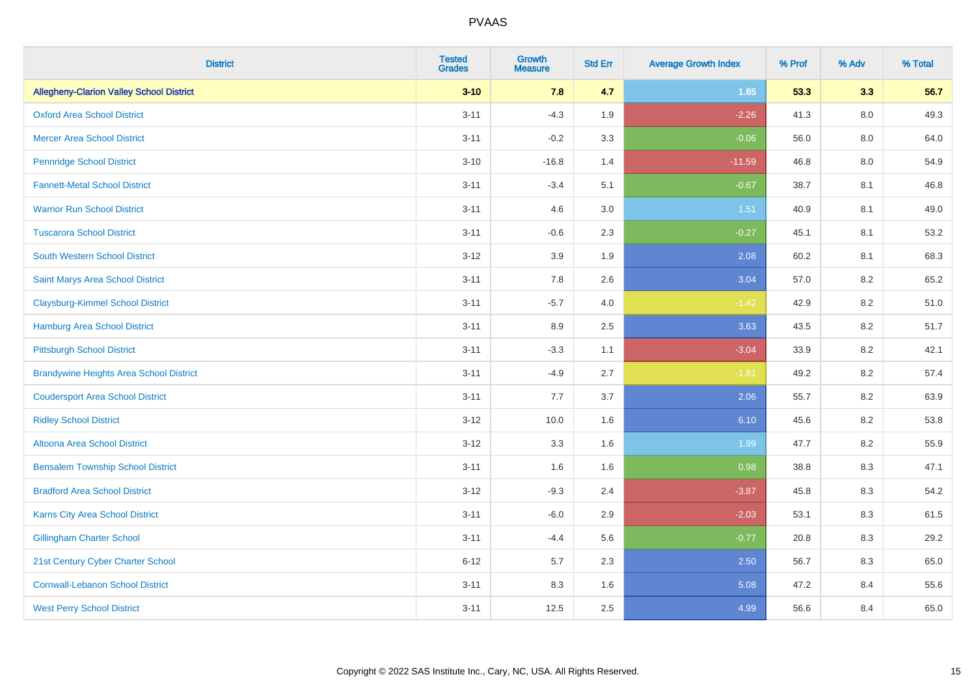| <b>District</b>                                 | <b>Tested</b><br><b>Grades</b> | <b>Growth</b><br><b>Measure</b> | <b>Std Err</b> | <b>Average Growth Index</b> | % Prof | % Adv   | % Total |
|-------------------------------------------------|--------------------------------|---------------------------------|----------------|-----------------------------|--------|---------|---------|
| <b>Allegheny-Clarion Valley School District</b> | $3 - 10$                       | 7.8                             | 4.7            | 1.65                        | 53.3   | 3.3     | 56.7    |
| <b>Oxford Area School District</b>              | $3 - 11$                       | $-4.3$                          | 1.9            | $-2.26$                     | 41.3   | $8.0\,$ | 49.3    |
| <b>Mercer Area School District</b>              | $3 - 11$                       | $-0.2$                          | 3.3            | $-0.06$                     | 56.0   | 8.0     | 64.0    |
| <b>Pennridge School District</b>                | $3 - 10$                       | $-16.8$                         | 1.4            | $-11.59$                    | 46.8   | $8.0\,$ | 54.9    |
| <b>Fannett-Metal School District</b>            | $3 - 11$                       | $-3.4$                          | 5.1            | $-0.67$                     | 38.7   | 8.1     | 46.8    |
| <b>Warrior Run School District</b>              | $3 - 11$                       | 4.6                             | 3.0            | 1.51                        | 40.9   | 8.1     | 49.0    |
| <b>Tuscarora School District</b>                | $3 - 11$                       | $-0.6$                          | 2.3            | $-0.27$                     | 45.1   | 8.1     | 53.2    |
| <b>South Western School District</b>            | $3 - 12$                       | 3.9                             | 1.9            | 2.08                        | 60.2   | 8.1     | 68.3    |
| Saint Marys Area School District                | $3 - 11$                       | 7.8                             | 2.6            | 3.04                        | 57.0   | 8.2     | 65.2    |
| <b>Claysburg-Kimmel School District</b>         | $3 - 11$                       | $-5.7$                          | 4.0            | $-1.42$                     | 42.9   | $8.2\,$ | 51.0    |
| Hamburg Area School District                    | $3 - 11$                       | 8.9                             | 2.5            | 3.63                        | 43.5   | 8.2     | 51.7    |
| <b>Pittsburgh School District</b>               | $3 - 11$                       | $-3.3$                          | 1.1            | $-3.04$                     | 33.9   | 8.2     | 42.1    |
| <b>Brandywine Heights Area School District</b>  | $3 - 11$                       | $-4.9$                          | 2.7            | $-1.81$                     | 49.2   | 8.2     | 57.4    |
| <b>Coudersport Area School District</b>         | $3 - 11$                       | 7.7                             | 3.7            | 2.06                        | 55.7   | 8.2     | 63.9    |
| <b>Ridley School District</b>                   | $3-12$                         | 10.0                            | 1.6            | 6.10                        | 45.6   | 8.2     | 53.8    |
| Altoona Area School District                    | $3 - 12$                       | 3.3                             | 1.6            | 1.99                        | 47.7   | 8.2     | 55.9    |
| <b>Bensalem Township School District</b>        | $3 - 11$                       | 1.6                             | 1.6            | 0.98                        | 38.8   | 8.3     | 47.1    |
| <b>Bradford Area School District</b>            | $3 - 12$                       | $-9.3$                          | 2.4            | $-3.87$                     | 45.8   | 8.3     | 54.2    |
| Karns City Area School District                 | $3 - 11$                       | $-6.0$                          | 2.9            | $-2.03$                     | 53.1   | 8.3     | 61.5    |
| <b>Gillingham Charter School</b>                | $3 - 11$                       | $-4.4$                          | 5.6            | $-0.77$                     | 20.8   | 8.3     | 29.2    |
| 21st Century Cyber Charter School               | $6 - 12$                       | 5.7                             | 2.3            | 2.50                        | 56.7   | 8.3     | 65.0    |
| <b>Cornwall-Lebanon School District</b>         | $3 - 11$                       | 8.3                             | 1.6            | 5.08                        | 47.2   | 8.4     | 55.6    |
| <b>West Perry School District</b>               | $3 - 11$                       | 12.5                            | 2.5            | 4.99                        | 56.6   | 8.4     | 65.0    |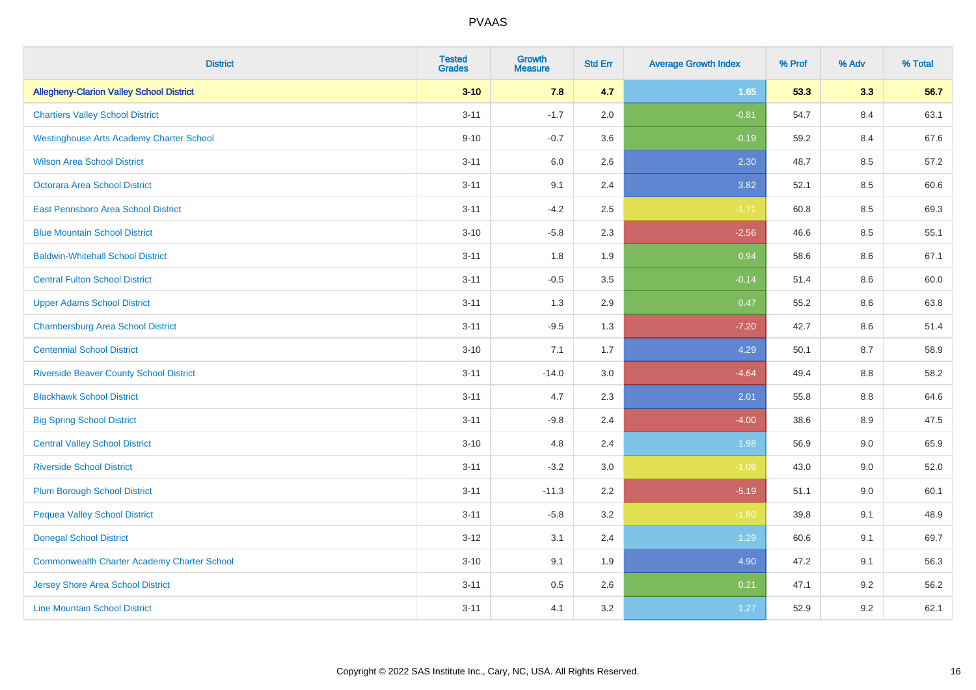| <b>District</b>                                    | <b>Tested</b><br><b>Grades</b> | <b>Growth</b><br><b>Measure</b> | <b>Std Err</b> | <b>Average Growth Index</b> | % Prof | % Adv | % Total |
|----------------------------------------------------|--------------------------------|---------------------------------|----------------|-----------------------------|--------|-------|---------|
| <b>Allegheny-Clarion Valley School District</b>    | $3 - 10$                       | 7.8                             | 4.7            | 1.65                        | 53.3   | 3.3   | 56.7    |
| <b>Chartiers Valley School District</b>            | $3 - 11$                       | $-1.7$                          | 2.0            | $-0.81$                     | 54.7   | 8.4   | 63.1    |
| <b>Westinghouse Arts Academy Charter School</b>    | $9 - 10$                       | $-0.7$                          | 3.6            | $-0.19$                     | 59.2   | 8.4   | 67.6    |
| <b>Wilson Area School District</b>                 | $3 - 11$                       | $6.0\,$                         | 2.6            | 2.30                        | 48.7   | 8.5   | 57.2    |
| Octorara Area School District                      | $3 - 11$                       | 9.1                             | 2.4            | 3.82                        | 52.1   | 8.5   | 60.6    |
| East Pennsboro Area School District                | $3 - 11$                       | $-4.2$                          | 2.5            | $-1.71$                     | 60.8   | 8.5   | 69.3    |
| <b>Blue Mountain School District</b>               | $3 - 10$                       | $-5.8$                          | 2.3            | $-2.56$                     | 46.6   | 8.5   | 55.1    |
| <b>Baldwin-Whitehall School District</b>           | $3 - 11$                       | 1.8                             | 1.9            | 0.94                        | 58.6   | 8.6   | 67.1    |
| <b>Central Fulton School District</b>              | $3 - 11$                       | $-0.5$                          | 3.5            | $-0.14$                     | 51.4   | 8.6   | 60.0    |
| <b>Upper Adams School District</b>                 | $3 - 11$                       | 1.3                             | 2.9            | 0.47                        | 55.2   | 8.6   | 63.8    |
| <b>Chambersburg Area School District</b>           | $3 - 11$                       | $-9.5$                          | 1.3            | $-7.20$                     | 42.7   | 8.6   | 51.4    |
| <b>Centennial School District</b>                  | $3 - 10$                       | 7.1                             | 1.7            | 4.29                        | 50.1   | 8.7   | 58.9    |
| <b>Riverside Beaver County School District</b>     | $3 - 11$                       | $-14.0$                         | 3.0            | $-4.64$                     | 49.4   | 8.8   | 58.2    |
| <b>Blackhawk School District</b>                   | $3 - 11$                       | 4.7                             | 2.3            | 2.01                        | 55.8   | 8.8   | 64.6    |
| <b>Big Spring School District</b>                  | $3 - 11$                       | $-9.8$                          | 2.4            | $-4.00$                     | 38.6   | 8.9   | 47.5    |
| <b>Central Valley School District</b>              | $3 - 10$                       | 4.8                             | 2.4            | 1.98                        | 56.9   | 9.0   | 65.9    |
| <b>Riverside School District</b>                   | $3 - 11$                       | $-3.2$                          | 3.0            | $-1.09$                     | 43.0   | 9.0   | 52.0    |
| <b>Plum Borough School District</b>                | $3 - 11$                       | $-11.3$                         | 2.2            | $-5.19$                     | 51.1   | 9.0   | 60.1    |
| <b>Pequea Valley School District</b>               | $3 - 11$                       | $-5.8$                          | 3.2            | $-1.80$                     | 39.8   | 9.1   | 48.9    |
| <b>Donegal School District</b>                     | $3 - 12$                       | 3.1                             | 2.4            | 1.29                        | 60.6   | 9.1   | 69.7    |
| <b>Commonwealth Charter Academy Charter School</b> | $3 - 10$                       | 9.1                             | 1.9            | 4.90                        | 47.2   | 9.1   | 56.3    |
| <b>Jersey Shore Area School District</b>           | $3 - 11$                       | $0.5\,$                         | 2.6            | 0.21                        | 47.1   | 9.2   | 56.2    |
| <b>Line Mountain School District</b>               | $3 - 11$                       | 4.1                             | 3.2            | 1.27                        | 52.9   | 9.2   | 62.1    |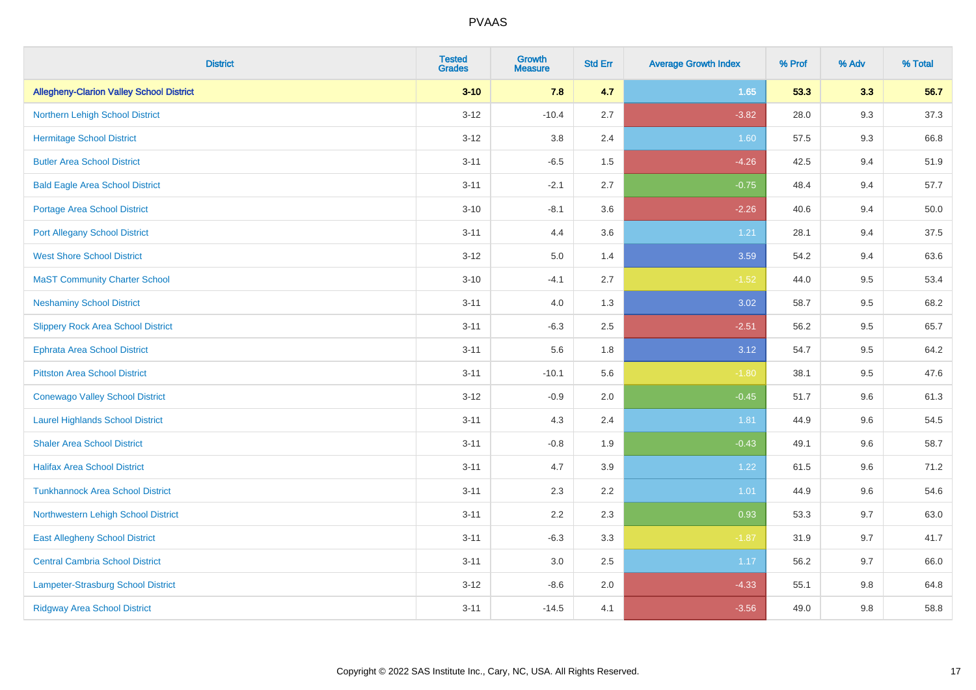| <b>District</b>                                 | <b>Tested</b><br><b>Grades</b> | <b>Growth</b><br><b>Measure</b> | <b>Std Err</b> | <b>Average Growth Index</b> | % Prof | % Adv | % Total |
|-------------------------------------------------|--------------------------------|---------------------------------|----------------|-----------------------------|--------|-------|---------|
| <b>Allegheny-Clarion Valley School District</b> | $3 - 10$                       | 7.8                             | 4.7            | 1.65                        | 53.3   | 3.3   | 56.7    |
| Northern Lehigh School District                 | $3 - 12$                       | $-10.4$                         | 2.7            | $-3.82$                     | 28.0   | 9.3   | 37.3    |
| <b>Hermitage School District</b>                | $3 - 12$                       | 3.8                             | 2.4            | 1.60                        | 57.5   | 9.3   | 66.8    |
| <b>Butler Area School District</b>              | $3 - 11$                       | $-6.5$                          | 1.5            | $-4.26$                     | 42.5   | 9.4   | 51.9    |
| <b>Bald Eagle Area School District</b>          | $3 - 11$                       | $-2.1$                          | 2.7            | $-0.75$                     | 48.4   | 9.4   | 57.7    |
| <b>Portage Area School District</b>             | $3 - 10$                       | $-8.1$                          | 3.6            | $-2.26$                     | 40.6   | 9.4   | 50.0    |
| <b>Port Allegany School District</b>            | $3 - 11$                       | 4.4                             | 3.6            | 1.21                        | 28.1   | 9.4   | 37.5    |
| <b>West Shore School District</b>               | $3 - 12$                       | 5.0                             | 1.4            | 3.59                        | 54.2   | 9.4   | 63.6    |
| <b>MaST Community Charter School</b>            | $3 - 10$                       | $-4.1$                          | 2.7            | $-1.52$                     | 44.0   | 9.5   | 53.4    |
| <b>Neshaminy School District</b>                | $3 - 11$                       | 4.0                             | 1.3            | 3.02                        | 58.7   | 9.5   | 68.2    |
| <b>Slippery Rock Area School District</b>       | $3 - 11$                       | $-6.3$                          | 2.5            | $-2.51$                     | 56.2   | 9.5   | 65.7    |
| Ephrata Area School District                    | $3 - 11$                       | 5.6                             | 1.8            | 3.12                        | 54.7   | 9.5   | 64.2    |
| <b>Pittston Area School District</b>            | $3 - 11$                       | $-10.1$                         | 5.6            | $-1.80$                     | 38.1   | 9.5   | 47.6    |
| <b>Conewago Valley School District</b>          | $3 - 12$                       | $-0.9$                          | 2.0            | $-0.45$                     | 51.7   | 9.6   | 61.3    |
| <b>Laurel Highlands School District</b>         | $3 - 11$                       | 4.3                             | 2.4            | 1.81                        | 44.9   | 9.6   | 54.5    |
| <b>Shaler Area School District</b>              | $3 - 11$                       | $-0.8$                          | 1.9            | $-0.43$                     | 49.1   | 9.6   | 58.7    |
| <b>Halifax Area School District</b>             | $3 - 11$                       | 4.7                             | 3.9            | 1.22                        | 61.5   | 9.6   | 71.2    |
| <b>Tunkhannock Area School District</b>         | $3 - 11$                       | 2.3                             | 2.2            | 1.01                        | 44.9   | 9.6   | 54.6    |
| Northwestern Lehigh School District             | $3 - 11$                       | 2.2                             | 2.3            | 0.93                        | 53.3   | 9.7   | 63.0    |
| <b>East Allegheny School District</b>           | $3 - 11$                       | $-6.3$                          | 3.3            | $-1.87$                     | 31.9   | 9.7   | 41.7    |
| <b>Central Cambria School District</b>          | $3 - 11$                       | 3.0                             | 2.5            | 1.17                        | 56.2   | 9.7   | 66.0    |
| Lampeter-Strasburg School District              | $3 - 12$                       | $-8.6$                          | 2.0            | $-4.33$                     | 55.1   | 9.8   | 64.8    |
| <b>Ridgway Area School District</b>             | $3 - 11$                       | $-14.5$                         | 4.1            | $-3.56$                     | 49.0   | 9.8   | 58.8    |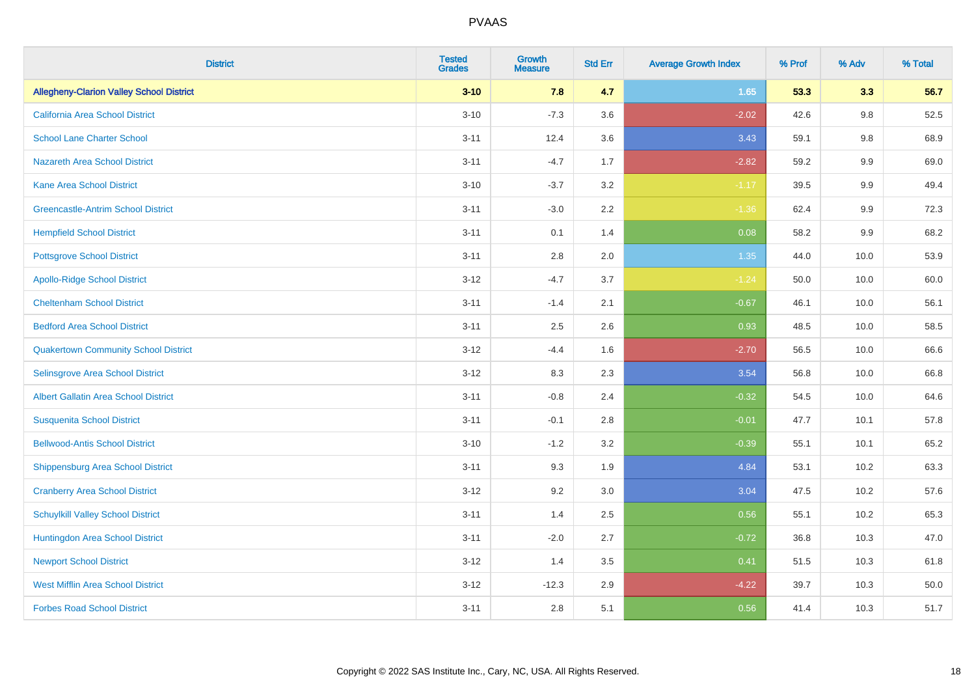| <b>District</b>                                 | <b>Tested</b><br><b>Grades</b> | <b>Growth</b><br><b>Measure</b> | <b>Std Err</b> | <b>Average Growth Index</b> | % Prof | % Adv | % Total |
|-------------------------------------------------|--------------------------------|---------------------------------|----------------|-----------------------------|--------|-------|---------|
| <b>Allegheny-Clarion Valley School District</b> | $3 - 10$                       | 7.8                             | 4.7            | 1.65                        | 53.3   | 3.3   | 56.7    |
| <b>California Area School District</b>          | $3 - 10$                       | $-7.3$                          | 3.6            | $-2.02$                     | 42.6   | 9.8   | 52.5    |
| <b>School Lane Charter School</b>               | $3 - 11$                       | 12.4                            | 3.6            | 3.43                        | 59.1   | 9.8   | 68.9    |
| Nazareth Area School District                   | $3 - 11$                       | $-4.7$                          | 1.7            | $-2.82$                     | 59.2   | 9.9   | 69.0    |
| <b>Kane Area School District</b>                | $3 - 10$                       | $-3.7$                          | 3.2            | $-1.17$                     | 39.5   | 9.9   | 49.4    |
| <b>Greencastle-Antrim School District</b>       | $3 - 11$                       | $-3.0$                          | 2.2            | $-1.36$                     | 62.4   | 9.9   | 72.3    |
| <b>Hempfield School District</b>                | $3 - 11$                       | 0.1                             | 1.4            | 0.08                        | 58.2   | 9.9   | 68.2    |
| <b>Pottsgrove School District</b>               | $3 - 11$                       | 2.8                             | 2.0            | 1.35                        | 44.0   | 10.0  | 53.9    |
| <b>Apollo-Ridge School District</b>             | $3 - 12$                       | $-4.7$                          | 3.7            | $-1.24$                     | 50.0   | 10.0  | 60.0    |
| <b>Cheltenham School District</b>               | $3 - 11$                       | $-1.4$                          | 2.1            | $-0.67$                     | 46.1   | 10.0  | 56.1    |
| <b>Bedford Area School District</b>             | $3 - 11$                       | 2.5                             | 2.6            | 0.93                        | 48.5   | 10.0  | 58.5    |
| <b>Quakertown Community School District</b>     | $3 - 12$                       | $-4.4$                          | 1.6            | $-2.70$                     | 56.5   | 10.0  | 66.6    |
| Selinsgrove Area School District                | $3-12$                         | 8.3                             | 2.3            | 3.54                        | 56.8   | 10.0  | 66.8    |
| <b>Albert Gallatin Area School District</b>     | $3 - 11$                       | $-0.8$                          | 2.4            | $-0.32$                     | 54.5   | 10.0  | 64.6    |
| <b>Susquenita School District</b>               | $3 - 11$                       | $-0.1$                          | 2.8            | $-0.01$                     | 47.7   | 10.1  | 57.8    |
| <b>Bellwood-Antis School District</b>           | $3 - 10$                       | $-1.2$                          | 3.2            | $-0.39$                     | 55.1   | 10.1  | 65.2    |
| <b>Shippensburg Area School District</b>        | $3 - 11$                       | 9.3                             | 1.9            | 4.84                        | 53.1   | 10.2  | 63.3    |
| <b>Cranberry Area School District</b>           | $3-12$                         | 9.2                             | 3.0            | 3.04                        | 47.5   | 10.2  | 57.6    |
| <b>Schuylkill Valley School District</b>        | $3 - 11$                       | 1.4                             | 2.5            | 0.56                        | 55.1   | 10.2  | 65.3    |
| Huntingdon Area School District                 | $3 - 11$                       | $-2.0$                          | 2.7            | $-0.72$                     | 36.8   | 10.3  | 47.0    |
| <b>Newport School District</b>                  | $3 - 12$                       | 1.4                             | 3.5            | 0.41                        | 51.5   | 10.3  | 61.8    |
| <b>West Mifflin Area School District</b>        | $3-12$                         | $-12.3$                         | 2.9            | $-4.22$                     | 39.7   | 10.3  | 50.0    |
| <b>Forbes Road School District</b>              | $3 - 11$                       | 2.8                             | 5.1            | 0.56                        | 41.4   | 10.3  | 51.7    |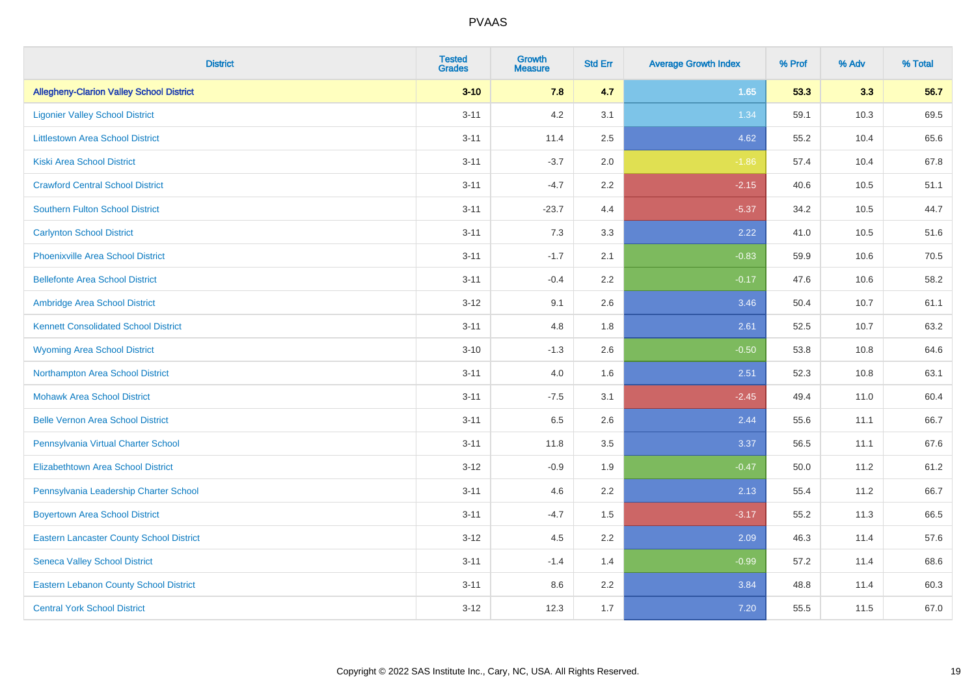| <b>District</b>                                 | <b>Tested</b><br><b>Grades</b> | Growth<br><b>Measure</b> | <b>Std Err</b> | <b>Average Growth Index</b> | % Prof | % Adv | % Total |
|-------------------------------------------------|--------------------------------|--------------------------|----------------|-----------------------------|--------|-------|---------|
| <b>Allegheny-Clarion Valley School District</b> | $3 - 10$                       | 7.8                      | 4.7            | 1.65                        | 53.3   | 3.3   | 56.7    |
| <b>Ligonier Valley School District</b>          | $3 - 11$                       | 4.2                      | 3.1            | 1.34                        | 59.1   | 10.3  | 69.5    |
| <b>Littlestown Area School District</b>         | $3 - 11$                       | 11.4                     | 2.5            | 4.62                        | 55.2   | 10.4  | 65.6    |
| <b>Kiski Area School District</b>               | $3 - 11$                       | $-3.7$                   | 2.0            | $-1.86$                     | 57.4   | 10.4  | 67.8    |
| <b>Crawford Central School District</b>         | $3 - 11$                       | $-4.7$                   | 2.2            | $-2.15$                     | 40.6   | 10.5  | 51.1    |
| <b>Southern Fulton School District</b>          | $3 - 11$                       | $-23.7$                  | 4.4            | $-5.37$                     | 34.2   | 10.5  | 44.7    |
| <b>Carlynton School District</b>                | $3 - 11$                       | 7.3                      | 3.3            | 2.22                        | 41.0   | 10.5  | 51.6    |
| <b>Phoenixville Area School District</b>        | $3 - 11$                       | $-1.7$                   | 2.1            | $-0.83$                     | 59.9   | 10.6  | 70.5    |
| <b>Bellefonte Area School District</b>          | $3 - 11$                       | $-0.4$                   | $2.2^{\circ}$  | $-0.17$                     | 47.6   | 10.6  | 58.2    |
| Ambridge Area School District                   | $3 - 12$                       | 9.1                      | 2.6            | 3.46                        | 50.4   | 10.7  | 61.1    |
| <b>Kennett Consolidated School District</b>     | $3 - 11$                       | 4.8                      | 1.8            | 2.61                        | 52.5   | 10.7  | 63.2    |
| <b>Wyoming Area School District</b>             | $3 - 10$                       | $-1.3$                   | 2.6            | $-0.50$                     | 53.8   | 10.8  | 64.6    |
| Northampton Area School District                | $3 - 11$                       | 4.0                      | 1.6            | 2.51                        | 52.3   | 10.8  | 63.1    |
| <b>Mohawk Area School District</b>              | $3 - 11$                       | $-7.5$                   | 3.1            | $-2.45$                     | 49.4   | 11.0  | 60.4    |
| <b>Belle Vernon Area School District</b>        | $3 - 11$                       | 6.5                      | 2.6            | 2.44                        | 55.6   | 11.1  | 66.7    |
| Pennsylvania Virtual Charter School             | $3 - 11$                       | 11.8                     | 3.5            | 3.37                        | 56.5   | 11.1  | 67.6    |
| <b>Elizabethtown Area School District</b>       | $3 - 12$                       | $-0.9$                   | 1.9            | $-0.47$                     | 50.0   | 11.2  | 61.2    |
| Pennsylvania Leadership Charter School          | $3 - 11$                       | 4.6                      | 2.2            | 2.13                        | 55.4   | 11.2  | 66.7    |
| <b>Boyertown Area School District</b>           | $3 - 11$                       | $-4.7$                   | 1.5            | $-3.17$                     | 55.2   | 11.3  | 66.5    |
| <b>Eastern Lancaster County School District</b> | $3 - 12$                       | 4.5                      | 2.2            | 2.09                        | 46.3   | 11.4  | 57.6    |
| <b>Seneca Valley School District</b>            | $3 - 11$                       | $-1.4$                   | 1.4            | $-0.99$                     | 57.2   | 11.4  | 68.6    |
| <b>Eastern Lebanon County School District</b>   | $3 - 11$                       | 8.6                      | 2.2            | 3.84                        | 48.8   | 11.4  | 60.3    |
| <b>Central York School District</b>             | $3-12$                         | 12.3                     | 1.7            | 7.20                        | 55.5   | 11.5  | 67.0    |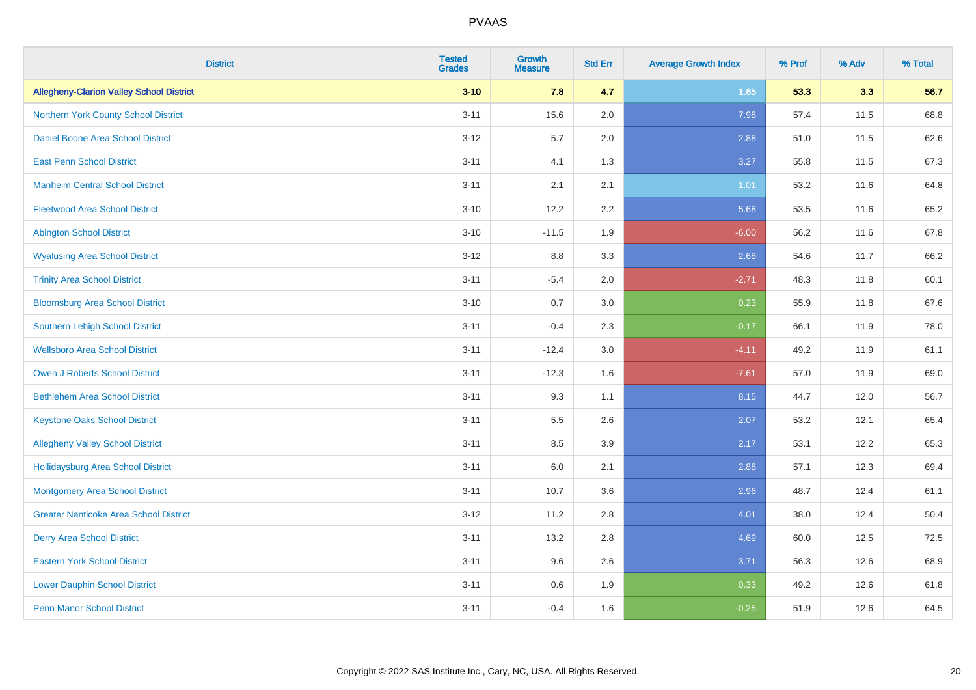| <b>District</b>                                 | <b>Tested</b><br><b>Grades</b> | <b>Growth</b><br><b>Measure</b> | <b>Std Err</b> | <b>Average Growth Index</b> | % Prof | % Adv | % Total |
|-------------------------------------------------|--------------------------------|---------------------------------|----------------|-----------------------------|--------|-------|---------|
| <b>Allegheny-Clarion Valley School District</b> | $3 - 10$                       | 7.8                             | 4.7            | 1.65                        | 53.3   | 3.3   | 56.7    |
| Northern York County School District            | $3 - 11$                       | 15.6                            | 2.0            | 7.98                        | 57.4   | 11.5  | 68.8    |
| Daniel Boone Area School District               | $3 - 12$                       | 5.7                             | 2.0            | 2.88                        | 51.0   | 11.5  | 62.6    |
| <b>East Penn School District</b>                | $3 - 11$                       | 4.1                             | 1.3            | 3.27                        | 55.8   | 11.5  | 67.3    |
| <b>Manheim Central School District</b>          | $3 - 11$                       | 2.1                             | 2.1            | 1.01                        | 53.2   | 11.6  | 64.8    |
| <b>Fleetwood Area School District</b>           | $3 - 10$                       | 12.2                            | 2.2            | 5.68                        | 53.5   | 11.6  | 65.2    |
| <b>Abington School District</b>                 | $3 - 10$                       | $-11.5$                         | 1.9            | $-6.00$                     | 56.2   | 11.6  | 67.8    |
| <b>Wyalusing Area School District</b>           | $3 - 12$                       | 8.8                             | 3.3            | 2.68                        | 54.6   | 11.7  | 66.2    |
| <b>Trinity Area School District</b>             | $3 - 11$                       | $-5.4$                          | 2.0            | $-2.71$                     | 48.3   | 11.8  | 60.1    |
| <b>Bloomsburg Area School District</b>          | $3 - 10$                       | 0.7                             | $3.0\,$        | 0.23                        | 55.9   | 11.8  | 67.6    |
| Southern Lehigh School District                 | $3 - 11$                       | $-0.4$                          | 2.3            | $-0.17$                     | 66.1   | 11.9  | 78.0    |
| <b>Wellsboro Area School District</b>           | $3 - 11$                       | $-12.4$                         | 3.0            | $-4.11$                     | 49.2   | 11.9  | 61.1    |
| <b>Owen J Roberts School District</b>           | $3 - 11$                       | $-12.3$                         | 1.6            | $-7.61$                     | 57.0   | 11.9  | 69.0    |
| <b>Bethlehem Area School District</b>           | $3 - 11$                       | 9.3                             | 1.1            | 8.15                        | 44.7   | 12.0  | 56.7    |
| <b>Keystone Oaks School District</b>            | $3 - 11$                       | $5.5\,$                         | 2.6            | 2.07                        | 53.2   | 12.1  | 65.4    |
| <b>Allegheny Valley School District</b>         | $3 - 11$                       | 8.5                             | 3.9            | 2.17                        | 53.1   | 12.2  | 65.3    |
| <b>Hollidaysburg Area School District</b>       | $3 - 11$                       | 6.0                             | 2.1            | 2.88                        | 57.1   | 12.3  | 69.4    |
| Montgomery Area School District                 | $3 - 11$                       | 10.7                            | 3.6            | 2.96                        | 48.7   | 12.4  | 61.1    |
| <b>Greater Nanticoke Area School District</b>   | $3 - 12$                       | 11.2                            | 2.8            | 4.01                        | 38.0   | 12.4  | 50.4    |
| <b>Derry Area School District</b>               | $3 - 11$                       | 13.2                            | 2.8            | 4.69                        | 60.0   | 12.5  | 72.5    |
| <b>Eastern York School District</b>             | $3 - 11$                       | 9.6                             | 2.6            | 3.71                        | 56.3   | 12.6  | 68.9    |
| <b>Lower Dauphin School District</b>            | $3 - 11$                       | 0.6                             | 1.9            | 0.33                        | 49.2   | 12.6  | 61.8    |
| <b>Penn Manor School District</b>               | $3 - 11$                       | $-0.4$                          | 1.6            | $-0.25$                     | 51.9   | 12.6  | 64.5    |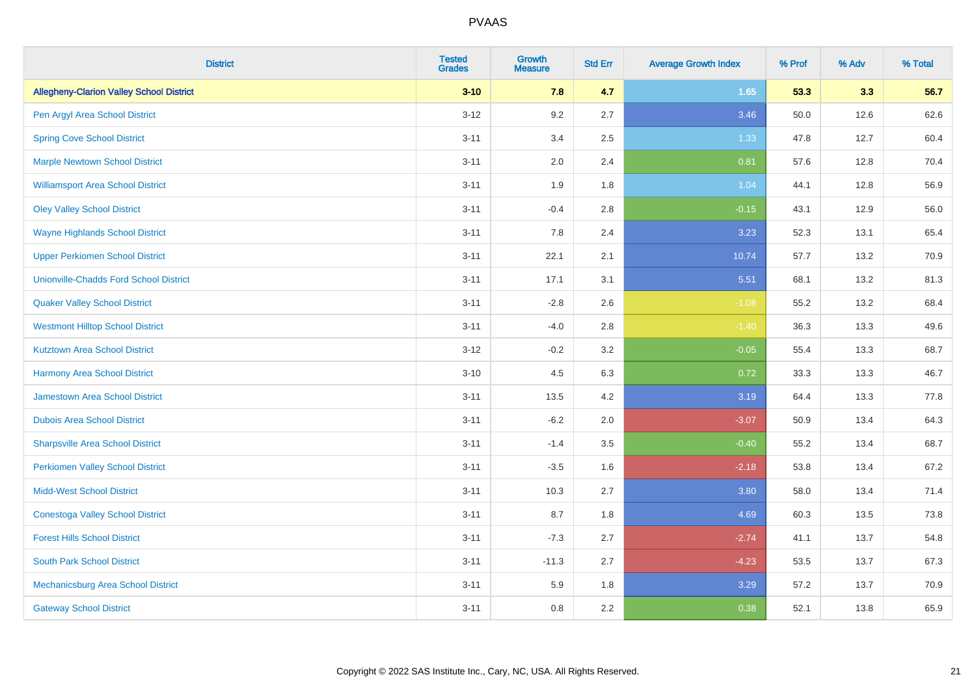| <b>District</b>                                 | <b>Tested</b><br><b>Grades</b> | <b>Growth</b><br><b>Measure</b> | <b>Std Err</b> | <b>Average Growth Index</b> | % Prof | % Adv | % Total |
|-------------------------------------------------|--------------------------------|---------------------------------|----------------|-----------------------------|--------|-------|---------|
| <b>Allegheny-Clarion Valley School District</b> | $3 - 10$                       | 7.8                             | 4.7            | 1.65                        | 53.3   | 3.3   | 56.7    |
| Pen Argyl Area School District                  | $3 - 12$                       | 9.2                             | 2.7            | 3.46                        | 50.0   | 12.6  | 62.6    |
| <b>Spring Cove School District</b>              | $3 - 11$                       | 3.4                             | 2.5            | 1.33                        | 47.8   | 12.7  | 60.4    |
| <b>Marple Newtown School District</b>           | $3 - 11$                       | 2.0                             | 2.4            | 0.81                        | 57.6   | 12.8  | 70.4    |
| <b>Williamsport Area School District</b>        | $3 - 11$                       | 1.9                             | 1.8            | 1.04                        | 44.1   | 12.8  | 56.9    |
| <b>Oley Valley School District</b>              | $3 - 11$                       | $-0.4$                          | 2.8            | $-0.15$                     | 43.1   | 12.9  | 56.0    |
| <b>Wayne Highlands School District</b>          | $3 - 11$                       | 7.8                             | 2.4            | 3.23                        | 52.3   | 13.1  | 65.4    |
| <b>Upper Perkiomen School District</b>          | $3 - 11$                       | 22.1                            | 2.1            | 10.74                       | 57.7   | 13.2  | 70.9    |
| <b>Unionville-Chadds Ford School District</b>   | $3 - 11$                       | 17.1                            | 3.1            | 5.51                        | 68.1   | 13.2  | 81.3    |
| <b>Quaker Valley School District</b>            | $3 - 11$                       | $-2.8$                          | 2.6            | $-1.08$                     | 55.2   | 13.2  | 68.4    |
| <b>Westmont Hilltop School District</b>         | $3 - 11$                       | $-4.0$                          | $2.8\,$        | $-1.40$                     | 36.3   | 13.3  | 49.6    |
| <b>Kutztown Area School District</b>            | $3 - 12$                       | $-0.2$                          | 3.2            | $-0.05$                     | 55.4   | 13.3  | 68.7    |
| <b>Harmony Area School District</b>             | $3 - 10$                       | 4.5                             | 6.3            | 0.72                        | 33.3   | 13.3  | 46.7    |
| <b>Jamestown Area School District</b>           | $3 - 11$                       | 13.5                            | 4.2            | 3.19                        | 64.4   | 13.3  | 77.8    |
| <b>Dubois Area School District</b>              | $3 - 11$                       | $-6.2$                          | 2.0            | $-3.07$                     | 50.9   | 13.4  | 64.3    |
| <b>Sharpsville Area School District</b>         | $3 - 11$                       | $-1.4$                          | 3.5            | $-0.40$                     | 55.2   | 13.4  | 68.7    |
| <b>Perkiomen Valley School District</b>         | $3 - 11$                       | $-3.5$                          | 1.6            | $-2.18$                     | 53.8   | 13.4  | 67.2    |
| <b>Midd-West School District</b>                | $3 - 11$                       | 10.3                            | 2.7            | 3.80                        | 58.0   | 13.4  | 71.4    |
| <b>Conestoga Valley School District</b>         | $3 - 11$                       | 8.7                             | 1.8            | 4.69                        | 60.3   | 13.5  | 73.8    |
| <b>Forest Hills School District</b>             | $3 - 11$                       | $-7.3$                          | 2.7            | $-2.74$                     | 41.1   | 13.7  | 54.8    |
| <b>South Park School District</b>               | $3 - 11$                       | $-11.3$                         | 2.7            | $-4.23$                     | 53.5   | 13.7  | 67.3    |
| Mechanicsburg Area School District              | $3 - 11$                       | 5.9                             | 1.8            | 3.29                        | 57.2   | 13.7  | 70.9    |
| <b>Gateway School District</b>                  | $3 - 11$                       | 0.8                             | 2.2            | 0.38                        | 52.1   | 13.8  | 65.9    |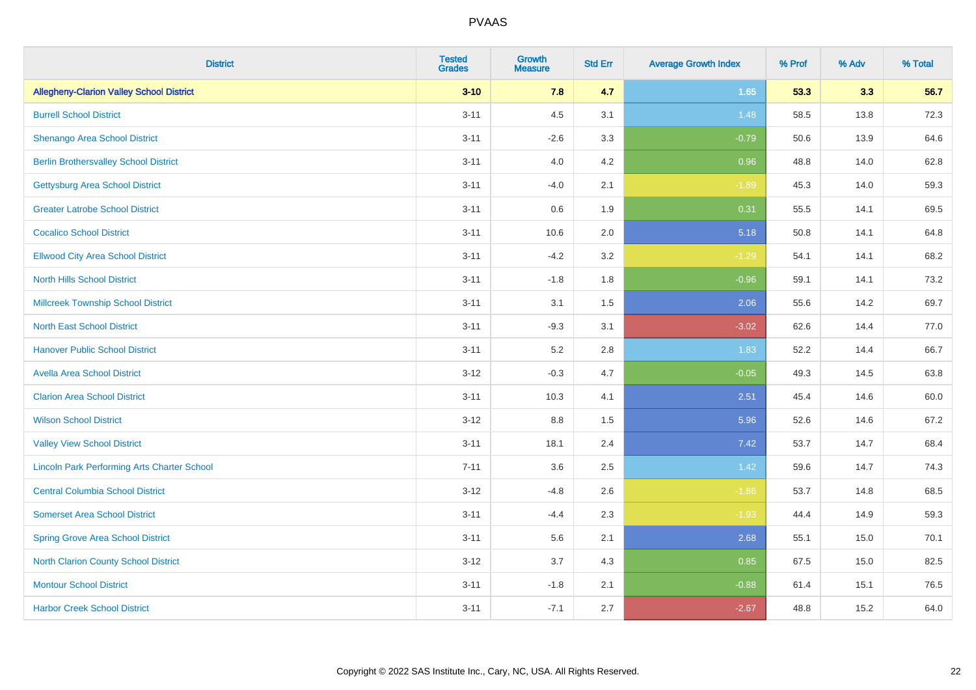| <b>District</b>                                    | <b>Tested</b><br><b>Grades</b> | <b>Growth</b><br><b>Measure</b> | <b>Std Err</b> | <b>Average Growth Index</b> | % Prof | % Adv | % Total |
|----------------------------------------------------|--------------------------------|---------------------------------|----------------|-----------------------------|--------|-------|---------|
| <b>Allegheny-Clarion Valley School District</b>    | $3 - 10$                       | 7.8                             | 4.7            | 1.65                        | 53.3   | 3.3   | 56.7    |
| <b>Burrell School District</b>                     | $3 - 11$                       | 4.5                             | 3.1            | 1.48                        | 58.5   | 13.8  | 72.3    |
| Shenango Area School District                      | $3 - 11$                       | $-2.6$                          | 3.3            | $-0.79$                     | 50.6   | 13.9  | 64.6    |
| <b>Berlin Brothersvalley School District</b>       | $3 - 11$                       | 4.0                             | 4.2            | 0.96                        | 48.8   | 14.0  | 62.8    |
| <b>Gettysburg Area School District</b>             | $3 - 11$                       | $-4.0$                          | 2.1            | $-1.89$                     | 45.3   | 14.0  | 59.3    |
| <b>Greater Latrobe School District</b>             | $3 - 11$                       | 0.6                             | 1.9            | 0.31                        | 55.5   | 14.1  | 69.5    |
| <b>Cocalico School District</b>                    | $3 - 11$                       | 10.6                            | 2.0            | 5.18                        | 50.8   | 14.1  | 64.8    |
| <b>Ellwood City Area School District</b>           | $3 - 11$                       | $-4.2$                          | 3.2            | $-1.29$                     | 54.1   | 14.1  | 68.2    |
| <b>North Hills School District</b>                 | $3 - 11$                       | $-1.8$                          | 1.8            | $-0.96$                     | 59.1   | 14.1  | 73.2    |
| <b>Millcreek Township School District</b>          | $3 - 11$                       | 3.1                             | 1.5            | 2.06                        | 55.6   | 14.2  | 69.7    |
| <b>North East School District</b>                  | $3 - 11$                       | $-9.3$                          | 3.1            | $-3.02$                     | 62.6   | 14.4  | 77.0    |
| <b>Hanover Public School District</b>              | $3 - 11$                       | 5.2                             | 2.8            | 1.83                        | 52.2   | 14.4  | 66.7    |
| <b>Avella Area School District</b>                 | $3-12$                         | $-0.3$                          | 4.7            | $-0.05$                     | 49.3   | 14.5  | 63.8    |
| <b>Clarion Area School District</b>                | $3 - 11$                       | 10.3                            | 4.1            | 2.51                        | 45.4   | 14.6  | 60.0    |
| <b>Wilson School District</b>                      | $3 - 12$                       | $8.8\,$                         | 1.5            | 5.96                        | 52.6   | 14.6  | 67.2    |
| <b>Valley View School District</b>                 | $3 - 11$                       | 18.1                            | 2.4            | 7.42                        | 53.7   | 14.7  | 68.4    |
| <b>Lincoln Park Performing Arts Charter School</b> | $7 - 11$                       | 3.6                             | 2.5            | 1.42                        | 59.6   | 14.7  | 74.3    |
| <b>Central Columbia School District</b>            | $3-12$                         | $-4.8$                          | 2.6            | $-1.86$                     | 53.7   | 14.8  | 68.5    |
| <b>Somerset Area School District</b>               | $3 - 11$                       | $-4.4$                          | 2.3            | $-1.93$                     | 44.4   | 14.9  | 59.3    |
| <b>Spring Grove Area School District</b>           | $3 - 11$                       | 5.6                             | 2.1            | 2.68                        | 55.1   | 15.0  | 70.1    |
| North Clarion County School District               | $3 - 12$                       | 3.7                             | 4.3            | 0.85                        | 67.5   | 15.0  | 82.5    |
| <b>Montour School District</b>                     | $3 - 11$                       | $-1.8$                          | 2.1            | $-0.88$                     | 61.4   | 15.1  | 76.5    |
| <b>Harbor Creek School District</b>                | $3 - 11$                       | $-7.1$                          | 2.7            | $-2.67$                     | 48.8   | 15.2  | 64.0    |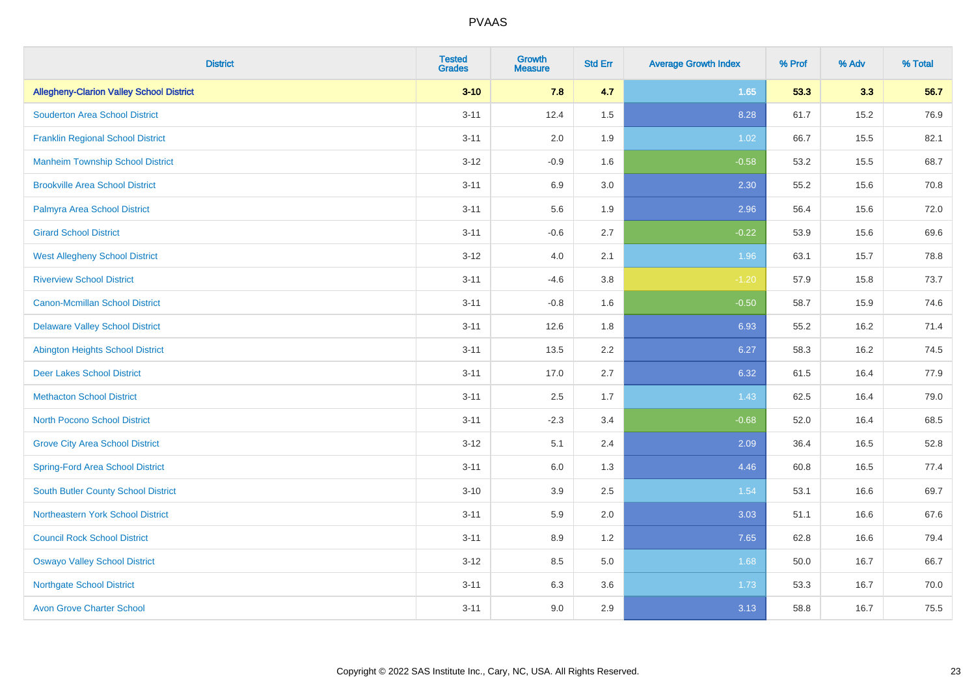| <b>District</b>                                 | <b>Tested</b><br><b>Grades</b> | Growth<br><b>Measure</b> | <b>Std Err</b> | <b>Average Growth Index</b> | % Prof | % Adv | % Total |
|-------------------------------------------------|--------------------------------|--------------------------|----------------|-----------------------------|--------|-------|---------|
| <b>Allegheny-Clarion Valley School District</b> | $3 - 10$                       | 7.8                      | 4.7            | 1.65                        | 53.3   | 3.3   | 56.7    |
| <b>Souderton Area School District</b>           | $3 - 11$                       | 12.4                     | 1.5            | 8.28                        | 61.7   | 15.2  | 76.9    |
| <b>Franklin Regional School District</b>        | $3 - 11$                       | 2.0                      | 1.9            | 1.02                        | 66.7   | 15.5  | 82.1    |
| <b>Manheim Township School District</b>         | $3 - 12$                       | $-0.9$                   | 1.6            | $-0.58$                     | 53.2   | 15.5  | 68.7    |
| <b>Brookville Area School District</b>          | $3 - 11$                       | 6.9                      | 3.0            | 2.30                        | 55.2   | 15.6  | 70.8    |
| Palmyra Area School District                    | $3 - 11$                       | 5.6                      | 1.9            | 2.96                        | 56.4   | 15.6  | 72.0    |
| <b>Girard School District</b>                   | $3 - 11$                       | $-0.6$                   | 2.7            | $-0.22$                     | 53.9   | 15.6  | 69.6    |
| <b>West Allegheny School District</b>           | $3 - 12$                       | 4.0                      | 2.1            | 1.96                        | 63.1   | 15.7  | 78.8    |
| <b>Riverview School District</b>                | $3 - 11$                       | $-4.6$                   | 3.8            | $-1.20$                     | 57.9   | 15.8  | 73.7    |
| <b>Canon-Mcmillan School District</b>           | $3 - 11$                       | $-0.8$                   | 1.6            | $-0.50$                     | 58.7   | 15.9  | 74.6    |
| <b>Delaware Valley School District</b>          | $3 - 11$                       | 12.6                     | 1.8            | 6.93                        | 55.2   | 16.2  | 71.4    |
| <b>Abington Heights School District</b>         | $3 - 11$                       | 13.5                     | 2.2            | 6.27                        | 58.3   | 16.2  | 74.5    |
| <b>Deer Lakes School District</b>               | $3 - 11$                       | 17.0                     | 2.7            | 6.32                        | 61.5   | 16.4  | 77.9    |
| <b>Methacton School District</b>                | $3 - 11$                       | 2.5                      | 1.7            | 1.43                        | 62.5   | 16.4  | 79.0    |
| <b>North Pocono School District</b>             | $3 - 11$                       | $-2.3$                   | 3.4            | $-0.68$                     | 52.0   | 16.4  | 68.5    |
| <b>Grove City Area School District</b>          | $3 - 12$                       | 5.1                      | 2.4            | 2.09                        | 36.4   | 16.5  | 52.8    |
| <b>Spring-Ford Area School District</b>         | $3 - 11$                       | 6.0                      | 1.3            | 4.46                        | 60.8   | 16.5  | 77.4    |
| <b>South Butler County School District</b>      | $3 - 10$                       | 3.9                      | 2.5            | 1.54                        | 53.1   | 16.6  | 69.7    |
| Northeastern York School District               | $3 - 11$                       | 5.9                      | 2.0            | 3.03                        | 51.1   | 16.6  | 67.6    |
| <b>Council Rock School District</b>             | $3 - 11$                       | 8.9                      | 1.2            | 7.65                        | 62.8   | 16.6  | 79.4    |
| <b>Oswayo Valley School District</b>            | $3 - 12$                       | 8.5                      | 5.0            | 1.68                        | 50.0   | 16.7  | 66.7    |
| <b>Northgate School District</b>                | $3 - 11$                       | 6.3                      | 3.6            | 1.73                        | 53.3   | 16.7  | 70.0    |
| <b>Avon Grove Charter School</b>                | $3 - 11$                       | 9.0                      | 2.9            | 3.13                        | 58.8   | 16.7  | 75.5    |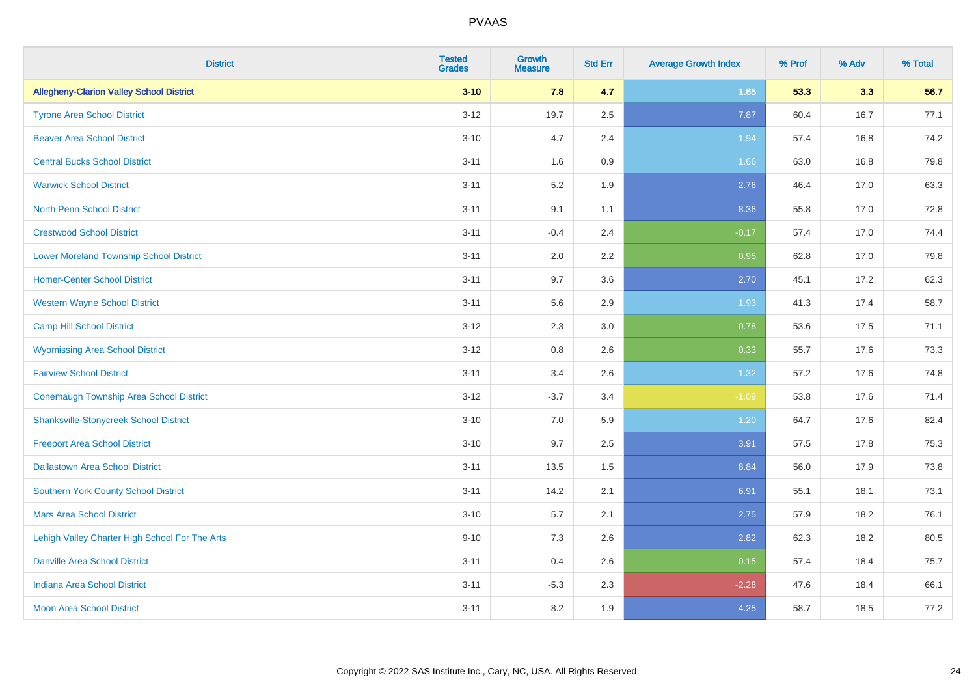| <b>District</b>                                 | <b>Tested</b><br><b>Grades</b> | <b>Growth</b><br><b>Measure</b> | <b>Std Err</b> | <b>Average Growth Index</b> | % Prof | % Adv | % Total |
|-------------------------------------------------|--------------------------------|---------------------------------|----------------|-----------------------------|--------|-------|---------|
| <b>Allegheny-Clarion Valley School District</b> | $3 - 10$                       | 7.8                             | 4.7            | 1.65                        | 53.3   | 3.3   | 56.7    |
| <b>Tyrone Area School District</b>              | $3 - 12$                       | 19.7                            | 2.5            | 7.87                        | 60.4   | 16.7  | 77.1    |
| <b>Beaver Area School District</b>              | $3 - 10$                       | 4.7                             | 2.4            | 1.94                        | 57.4   | 16.8  | 74.2    |
| <b>Central Bucks School District</b>            | $3 - 11$                       | 1.6                             | 0.9            | 1.66                        | 63.0   | 16.8  | 79.8    |
| <b>Warwick School District</b>                  | $3 - 11$                       | 5.2                             | 1.9            | 2.76                        | 46.4   | 17.0  | 63.3    |
| <b>North Penn School District</b>               | $3 - 11$                       | 9.1                             | 1.1            | 8.36                        | 55.8   | 17.0  | 72.8    |
| <b>Crestwood School District</b>                | $3 - 11$                       | $-0.4$                          | 2.4            | $-0.17$                     | 57.4   | 17.0  | 74.4    |
| <b>Lower Moreland Township School District</b>  | $3 - 11$                       | 2.0                             | 2.2            | 0.95                        | 62.8   | 17.0  | 79.8    |
| <b>Homer-Center School District</b>             | $3 - 11$                       | 9.7                             | 3.6            | 2.70                        | 45.1   | 17.2  | 62.3    |
| <b>Western Wayne School District</b>            | $3 - 11$                       | 5.6                             | 2.9            | 1.93                        | 41.3   | 17.4  | 58.7    |
| <b>Camp Hill School District</b>                | $3 - 12$                       | 2.3                             | 3.0            | 0.78                        | 53.6   | 17.5  | 71.1    |
| <b>Wyomissing Area School District</b>          | $3 - 12$                       | 0.8                             | 2.6            | 0.33                        | 55.7   | 17.6  | 73.3    |
| <b>Fairview School District</b>                 | $3 - 11$                       | 3.4                             | 2.6            | 1.32                        | 57.2   | 17.6  | 74.8    |
| <b>Conemaugh Township Area School District</b>  | $3 - 12$                       | $-3.7$                          | 3.4            | $-1.09$                     | 53.8   | 17.6  | 71.4    |
| <b>Shanksville-Stonycreek School District</b>   | $3 - 10$                       | 7.0                             | 5.9            | 1.20                        | 64.7   | 17.6  | 82.4    |
| <b>Freeport Area School District</b>            | $3 - 10$                       | 9.7                             | 2.5            | 3.91                        | 57.5   | 17.8  | 75.3    |
| <b>Dallastown Area School District</b>          | $3 - 11$                       | 13.5                            | 1.5            | 8.84                        | 56.0   | 17.9  | 73.8    |
| <b>Southern York County School District</b>     | $3 - 11$                       | 14.2                            | 2.1            | 6.91                        | 55.1   | 18.1  | 73.1    |
| <b>Mars Area School District</b>                | $3 - 10$                       | 5.7                             | 2.1            | 2.75                        | 57.9   | 18.2  | 76.1    |
| Lehigh Valley Charter High School For The Arts  | $9 - 10$                       | 7.3                             | 2.6            | 2.82                        | 62.3   | 18.2  | 80.5    |
| <b>Danville Area School District</b>            | $3 - 11$                       | 0.4                             | 2.6            | 0.15                        | 57.4   | 18.4  | 75.7    |
| <b>Indiana Area School District</b>             | $3 - 11$                       | $-5.3$                          | 2.3            | $-2.28$                     | 47.6   | 18.4  | 66.1    |
| <b>Moon Area School District</b>                | $3 - 11$                       | 8.2                             | 1.9            | 4.25                        | 58.7   | 18.5  | 77.2    |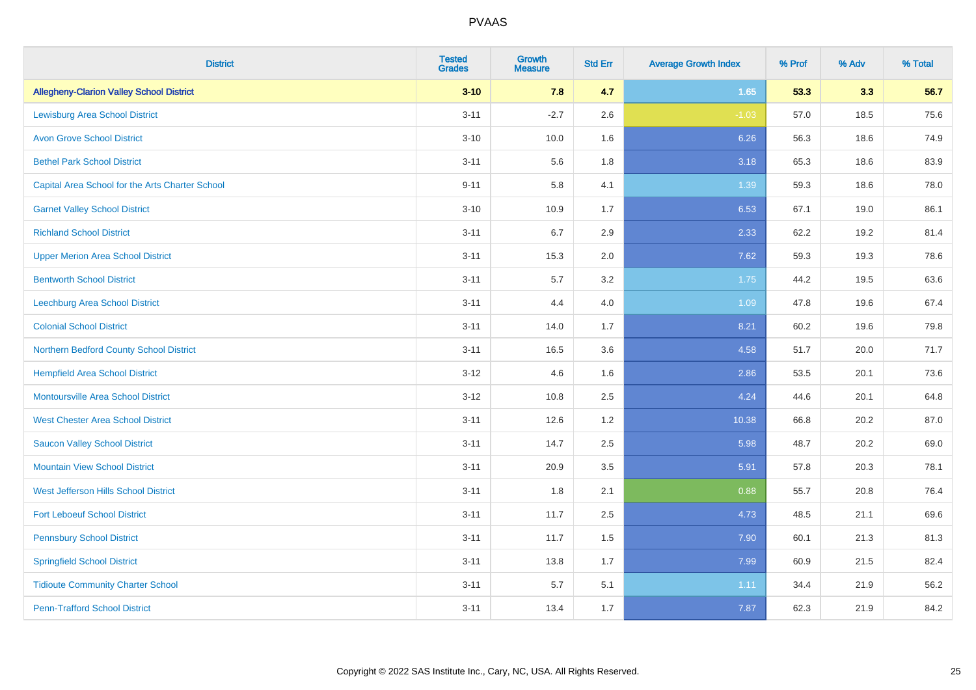| <b>District</b>                                 | <b>Tested</b><br><b>Grades</b> | <b>Growth</b><br><b>Measure</b> | <b>Std Err</b> | <b>Average Growth Index</b> | % Prof | % Adv | % Total |
|-------------------------------------------------|--------------------------------|---------------------------------|----------------|-----------------------------|--------|-------|---------|
| <b>Allegheny-Clarion Valley School District</b> | $3 - 10$                       | 7.8                             | 4.7            | 1.65                        | 53.3   | 3.3   | 56.7    |
| <b>Lewisburg Area School District</b>           | $3 - 11$                       | $-2.7$                          | 2.6            | $-1.03$                     | 57.0   | 18.5  | 75.6    |
| <b>Avon Grove School District</b>               | $3 - 10$                       | 10.0                            | 1.6            | 6.26                        | 56.3   | 18.6  | 74.9    |
| <b>Bethel Park School District</b>              | $3 - 11$                       | 5.6                             | 1.8            | 3.18                        | 65.3   | 18.6  | 83.9    |
| Capital Area School for the Arts Charter School | $9 - 11$                       | 5.8                             | 4.1            | 1.39                        | 59.3   | 18.6  | 78.0    |
| <b>Garnet Valley School District</b>            | $3 - 10$                       | 10.9                            | 1.7            | 6.53                        | 67.1   | 19.0  | 86.1    |
| <b>Richland School District</b>                 | $3 - 11$                       | 6.7                             | 2.9            | 2.33                        | 62.2   | 19.2  | 81.4    |
| <b>Upper Merion Area School District</b>        | $3 - 11$                       | 15.3                            | 2.0            | 7.62                        | 59.3   | 19.3  | 78.6    |
| <b>Bentworth School District</b>                | $3 - 11$                       | 5.7                             | 3.2            | 1.75                        | 44.2   | 19.5  | 63.6    |
| <b>Leechburg Area School District</b>           | $3 - 11$                       | 4.4                             | 4.0            | 1.09                        | 47.8   | 19.6  | 67.4    |
| <b>Colonial School District</b>                 | $3 - 11$                       | 14.0                            | 1.7            | 8.21                        | 60.2   | 19.6  | 79.8    |
| Northern Bedford County School District         | $3 - 11$                       | 16.5                            | 3.6            | 4.58                        | 51.7   | 20.0  | 71.7    |
| <b>Hempfield Area School District</b>           | $3 - 12$                       | 4.6                             | 1.6            | 2.86                        | 53.5   | 20.1  | 73.6    |
| <b>Montoursville Area School District</b>       | $3-12$                         | 10.8                            | 2.5            | 4.24                        | 44.6   | 20.1  | 64.8    |
| <b>West Chester Area School District</b>        | $3 - 11$                       | 12.6                            | 1.2            | 10.38                       | 66.8   | 20.2  | 87.0    |
| <b>Saucon Valley School District</b>            | $3 - 11$                       | 14.7                            | 2.5            | 5.98                        | 48.7   | 20.2  | 69.0    |
| <b>Mountain View School District</b>            | $3 - 11$                       | 20.9                            | 3.5            | 5.91                        | 57.8   | 20.3  | 78.1    |
| West Jefferson Hills School District            | $3 - 11$                       | 1.8                             | 2.1            | 0.88                        | 55.7   | 20.8  | 76.4    |
| <b>Fort Leboeuf School District</b>             | $3 - 11$                       | 11.7                            | 2.5            | 4.73                        | 48.5   | 21.1  | 69.6    |
| <b>Pennsbury School District</b>                | $3 - 11$                       | 11.7                            | 1.5            | 7.90                        | 60.1   | 21.3  | 81.3    |
| <b>Springfield School District</b>              | $3 - 11$                       | 13.8                            | 1.7            | 7.99                        | 60.9   | 21.5  | 82.4    |
| <b>Tidioute Community Charter School</b>        | $3 - 11$                       | 5.7                             | 5.1            | 1.11                        | 34.4   | 21.9  | 56.2    |
| <b>Penn-Trafford School District</b>            | $3 - 11$                       | 13.4                            | 1.7            | 7.87                        | 62.3   | 21.9  | 84.2    |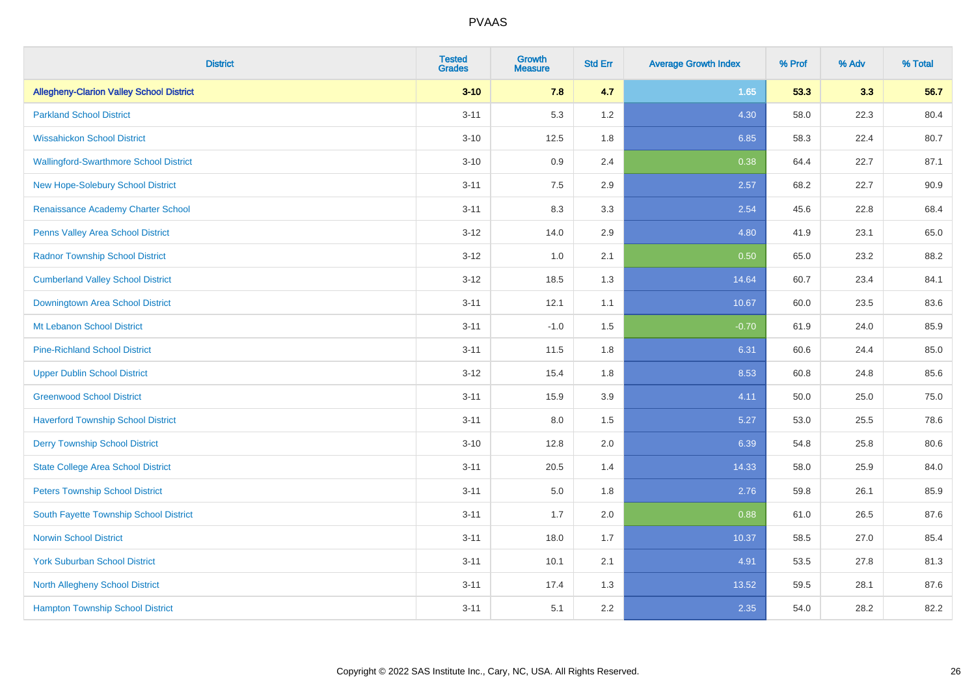| <b>District</b>                                 | <b>Tested</b><br><b>Grades</b> | <b>Growth</b><br><b>Measure</b> | <b>Std Err</b> | <b>Average Growth Index</b> | % Prof | % Adv | % Total |
|-------------------------------------------------|--------------------------------|---------------------------------|----------------|-----------------------------|--------|-------|---------|
| <b>Allegheny-Clarion Valley School District</b> | $3 - 10$                       | 7.8                             | 4.7            | 1.65                        | 53.3   | 3.3   | 56.7    |
| <b>Parkland School District</b>                 | $3 - 11$                       | 5.3                             | 1.2            | 4.30                        | 58.0   | 22.3  | 80.4    |
| <b>Wissahickon School District</b>              | $3 - 10$                       | 12.5                            | 1.8            | 6.85                        | 58.3   | 22.4  | 80.7    |
| <b>Wallingford-Swarthmore School District</b>   | $3 - 10$                       | 0.9                             | 2.4            | 0.38                        | 64.4   | 22.7  | 87.1    |
| <b>New Hope-Solebury School District</b>        | $3 - 11$                       | 7.5                             | 2.9            | 2.57                        | 68.2   | 22.7  | 90.9    |
| Renaissance Academy Charter School              | $3 - 11$                       | 8.3                             | 3.3            | 2.54                        | 45.6   | 22.8  | 68.4    |
| Penns Valley Area School District               | $3-12$                         | 14.0                            | 2.9            | 4.80                        | 41.9   | 23.1  | 65.0    |
| <b>Radnor Township School District</b>          | $3 - 12$                       | 1.0                             | 2.1            | 0.50                        | 65.0   | 23.2  | 88.2    |
| <b>Cumberland Valley School District</b>        | $3 - 12$                       | 18.5                            | 1.3            | 14.64                       | 60.7   | 23.4  | 84.1    |
| Downingtown Area School District                | $3 - 11$                       | 12.1                            | 1.1            | 10.67                       | 60.0   | 23.5  | 83.6    |
| Mt Lebanon School District                      | $3 - 11$                       | $-1.0$                          | 1.5            | $-0.70$                     | 61.9   | 24.0  | 85.9    |
| <b>Pine-Richland School District</b>            | $3 - 11$                       | 11.5                            | 1.8            | 6.31                        | 60.6   | 24.4  | 85.0    |
| <b>Upper Dublin School District</b>             | $3 - 12$                       | 15.4                            | 1.8            | 8.53                        | 60.8   | 24.8  | 85.6    |
| <b>Greenwood School District</b>                | $3 - 11$                       | 15.9                            | 3.9            | 4.11                        | 50.0   | 25.0  | 75.0    |
| <b>Haverford Township School District</b>       | $3 - 11$                       | 8.0                             | 1.5            | 5.27                        | 53.0   | 25.5  | 78.6    |
| <b>Derry Township School District</b>           | $3 - 10$                       | 12.8                            | 2.0            | 6.39                        | 54.8   | 25.8  | 80.6    |
| <b>State College Area School District</b>       | $3 - 11$                       | 20.5                            | 1.4            | 14.33                       | 58.0   | 25.9  | 84.0    |
| <b>Peters Township School District</b>          | $3 - 11$                       | 5.0                             | 1.8            | 2.76                        | 59.8   | 26.1  | 85.9    |
| South Fayette Township School District          | $3 - 11$                       | 1.7                             | 2.0            | 0.88                        | 61.0   | 26.5  | 87.6    |
| <b>Norwin School District</b>                   | $3 - 11$                       | 18.0                            | 1.7            | 10.37                       | 58.5   | 27.0  | 85.4    |
| <b>York Suburban School District</b>            | $3 - 11$                       | 10.1                            | 2.1            | 4.91                        | 53.5   | 27.8  | 81.3    |
| North Allegheny School District                 | $3 - 11$                       | 17.4                            | 1.3            | 13.52                       | 59.5   | 28.1  | 87.6    |
| <b>Hampton Township School District</b>         | $3 - 11$                       | 5.1                             | 2.2            | 2.35                        | 54.0   | 28.2  | 82.2    |